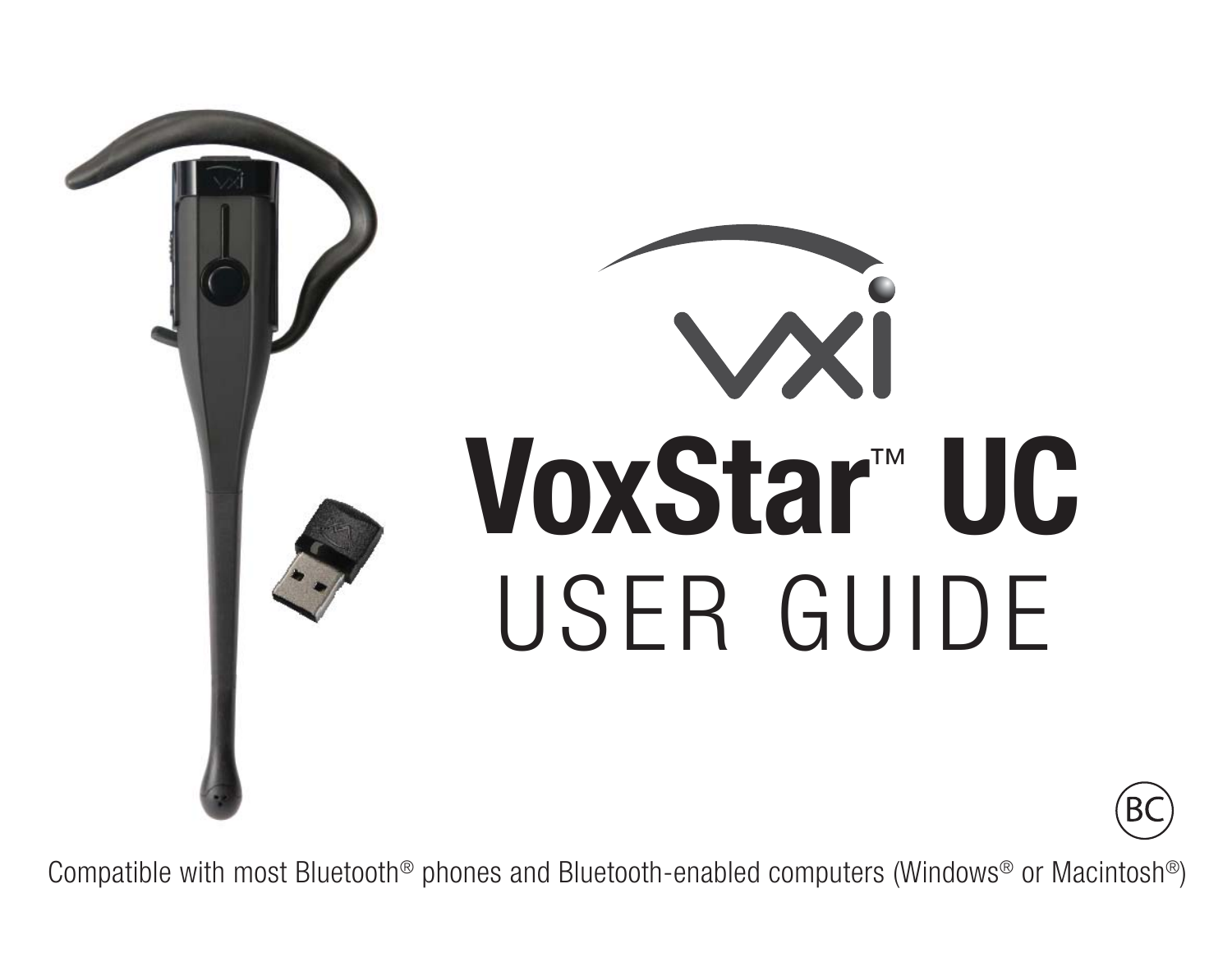

# W **VoxStar**™ **UC**USER GUIDE

B(

Compatible with most Bluetooth® phones and Bluetooth-enabled computers (Windows® or Macintosh®)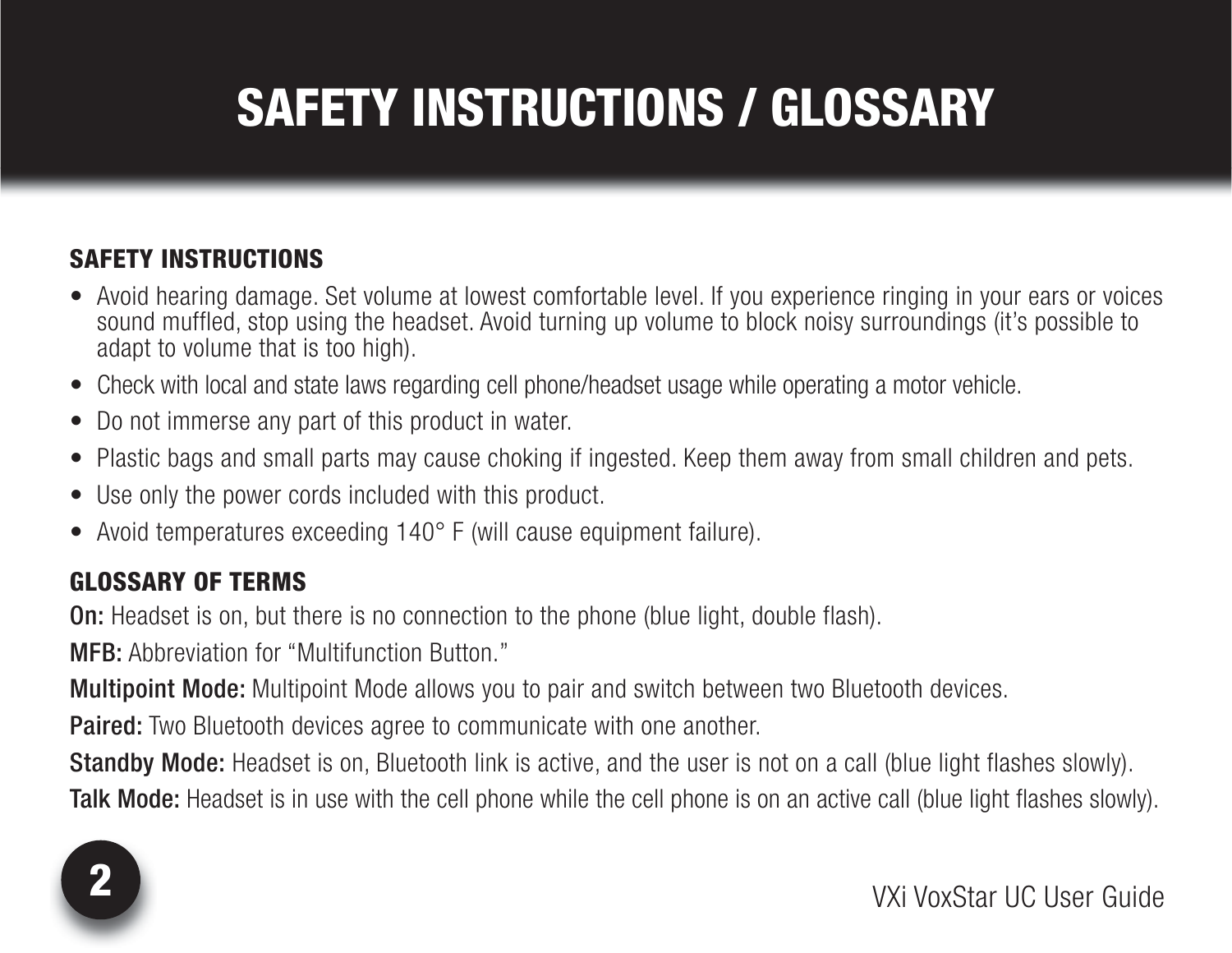# SAFETY INSTRUCTIONS / GLOSSARY

#### SAFETY INSTRUCTIONS

- Avoid hearing damage. Set volume at lowest comfortable level. If you experience ringing in your ears or voices sound muffled, stop using the headset. Avoid turning up volume to block noisy surroundings (it's possible to adapt to volume that is too high).
- Check with local and state laws regarding cell phone/headset usage while operating a motor vehicle.
- Do not immerse any part of this product in water.
- Plastic bags and small parts may cause choking if ingested. Keep them away from small children and pets.
- Use only the power cords included with this product.
- Avoid temperatures exceeding 140° F (will cause equipment failure).

#### GLOSSARY OF TERMS

**On:** Headset is on, but there is no connection to the phone (blue light, double flash).

**MFB:** Abbreviation for "Multifunction Button."

**Multipoint Mode:** Multipoint Mode allows you to pair and switch between two Bluetooth devices.

**Paired:** Two Bluetooth devices agree to communicate with one another.

**Standby Mode:** Headset is on, Bluetooth link is active, and the user is not on a call (blue light flashes slowly).

**Talk Mode:** Headset is in use with the cell phone while the cell phone is on an active call (blue light flashes slowly).

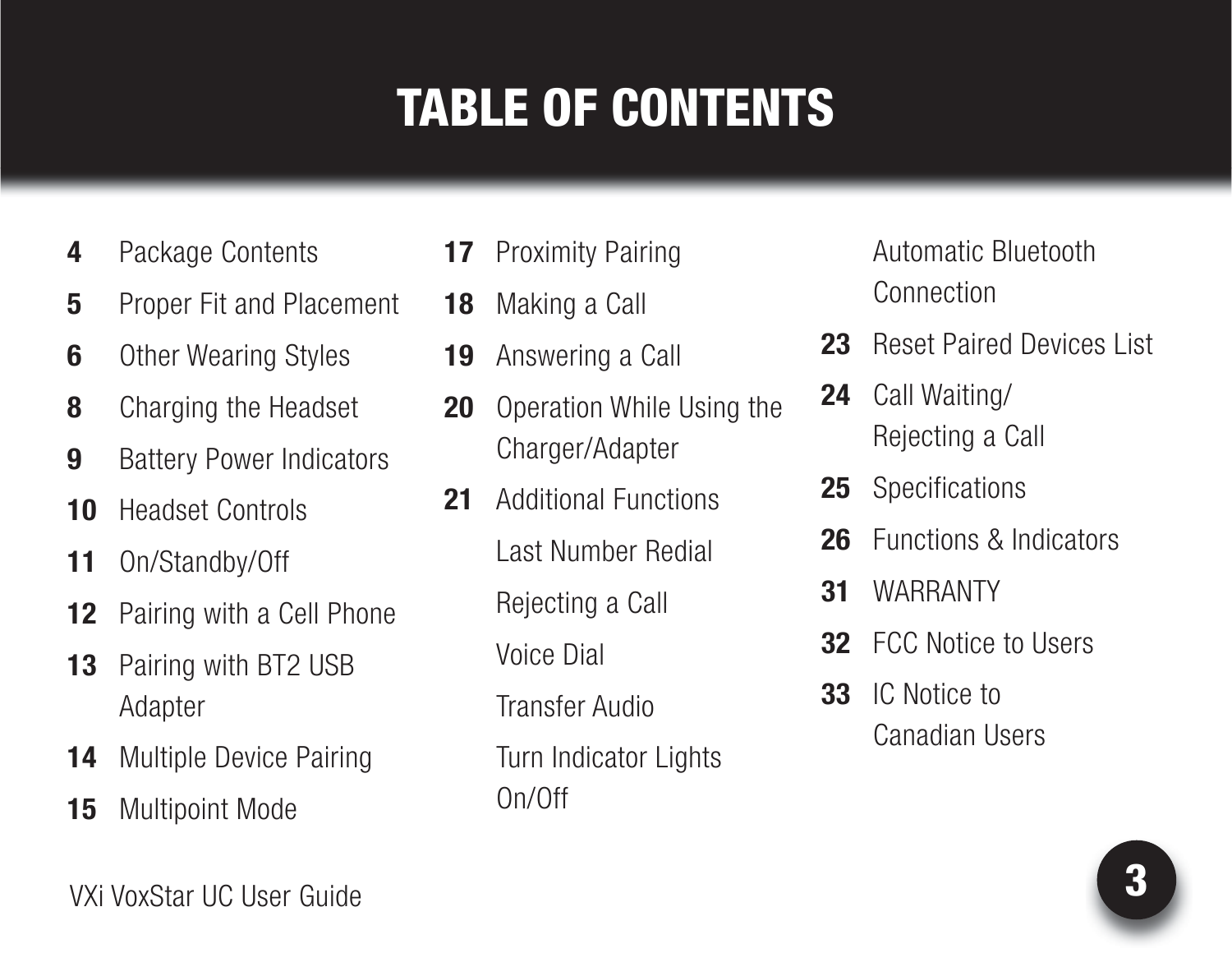# TABLE OF CONTENTS

- **4** Pack[ag](#page-20-0)[e C](#page-19-0)[on](#page-18-0)[te](#page-17-0)[nt](#page-16-0)s
- **5** Proper Fit and Placement
- **6** Ot[h](#page-30-0)er Wearing Styles
- **8**[Ch](#page-31-0)a[rg](#page-25-0)[in](#page-24-0)[g th](#page-23-0)[e](#page-22-0) Headset
- **9** Battery Power Indicators
- **10** Headset Controls
- **11** On/Standby/Off
- **12** Pairing with a Cell Phone
- **13** Pairing with BT2 USB Adapter
- **14** Multiple Device Pairing
- **15** Multipoint Mode
- **17** Proximity Pairing
- **18** Making a Call
- **19** Answering a Call
- **20** Operation While Using the Charger/Adapter
- 21 Additional Functions Last Number Redial Rejecting a Call Voice Dial Transfer Audio
	-
	- Turn Indicator Lights On/Off

 Automatic Bluetooth**Connection** 

- **23** Reset Paired Devices List
- **24** Call Waiting/ Rejecting a Call
- **25** Specifications
- **26** Functions & Indicators
- **31** WARRANTY
- **32** FCC Notice to Users
- **33** IC Notice to Canadian Users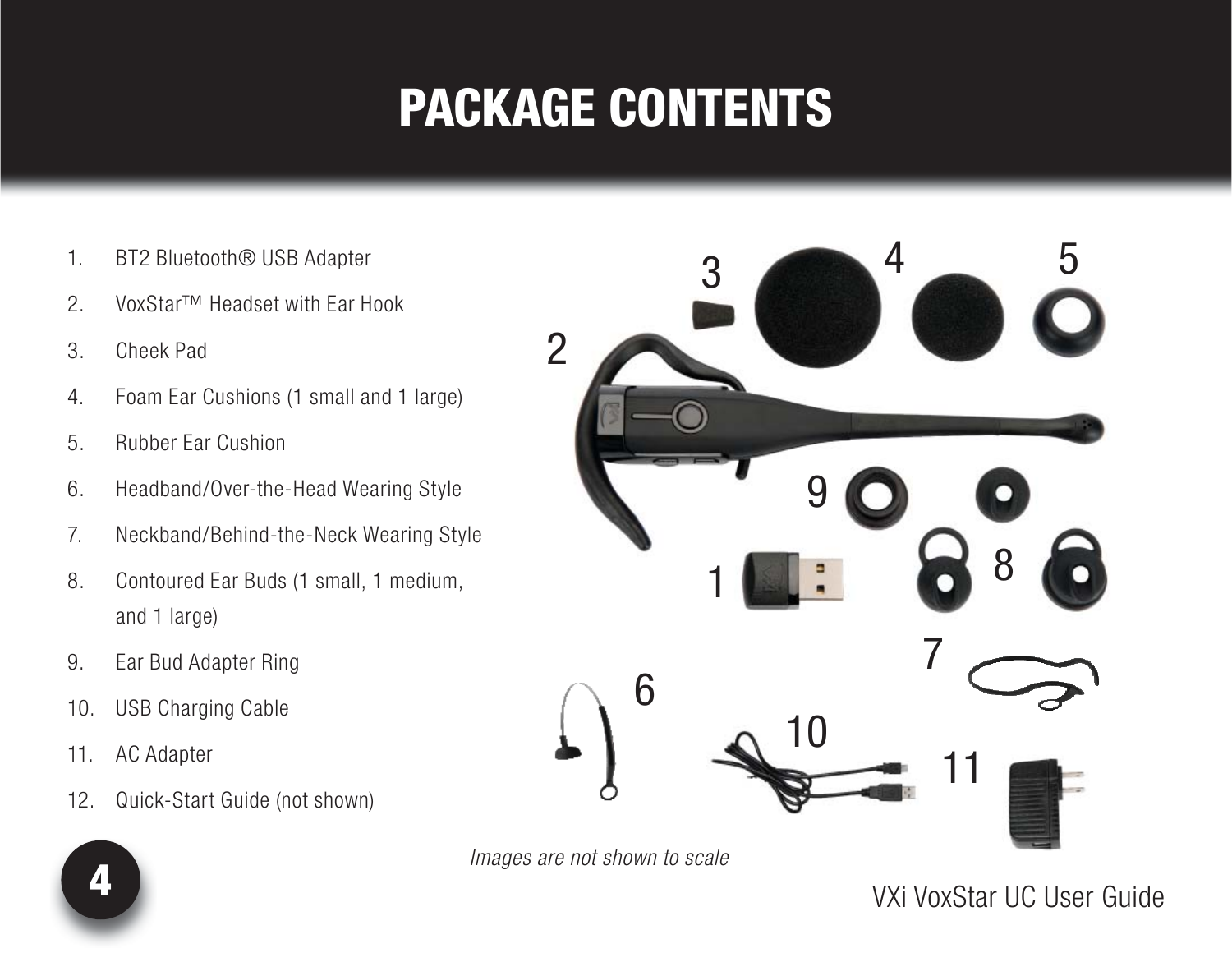### PACKAGE CONTENTS

- 1. BT2 Bluetooth® USB Adapter
- 2. VoxStar™ Headset with Ear Hook
- 3. Cheek Pad
- 4. Foam Ear Cushions (1 small and 1 large)
- 5. Rubber Ear Cushion
- 6. Headband/Over-the-Head Wearing Style
- 7. Neckband/Behind-the-Neck Wearing Style
- 8. Contoured Ear Buds (1 small, 1 medium, and 1 large)
- 9. Ear Bud Adapter Ring
- 10. USB Charging Cable
- 11. AC Adapter
- 12. Quick-Start Guide (not shown)





VXi VoxStar UC User Guide

4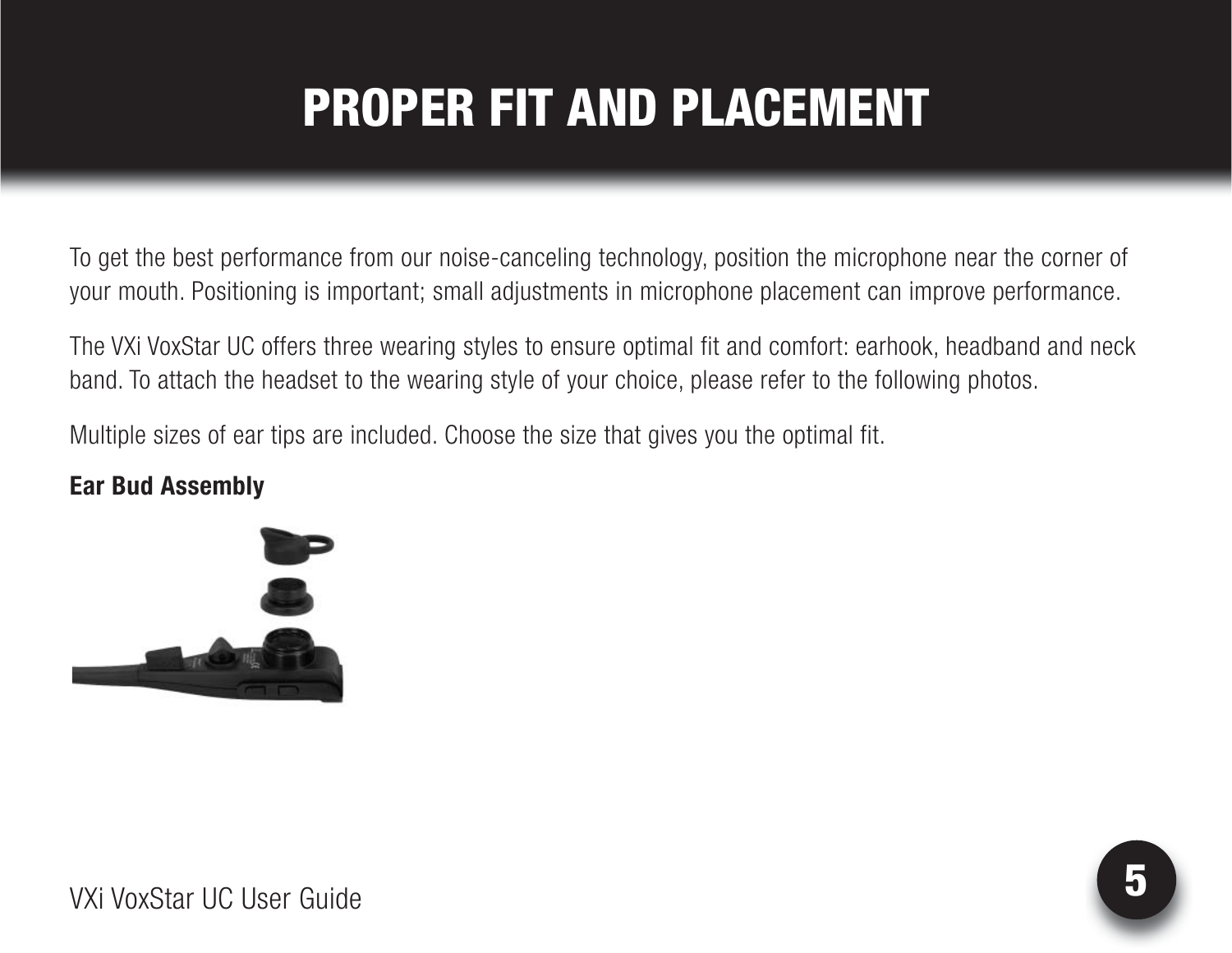# PROPER FIT AND PLACEMENT

To get the best performance from our noise-canceling technology, position the microphone near the corner of your mouth. Positioning is important; small adjustments in microphone placement can improve performance.

The VXi VoxStar UC offers three wearing styles to ensure optimal fit and comfort: earhook, headband and neck band. To attach the headset to the wearing style of your choice, please refer to the following photos.

Multiple sizes of ear tips are included. Choose the size that gives you the optimal fit.

#### **Ear Bud Assembly**

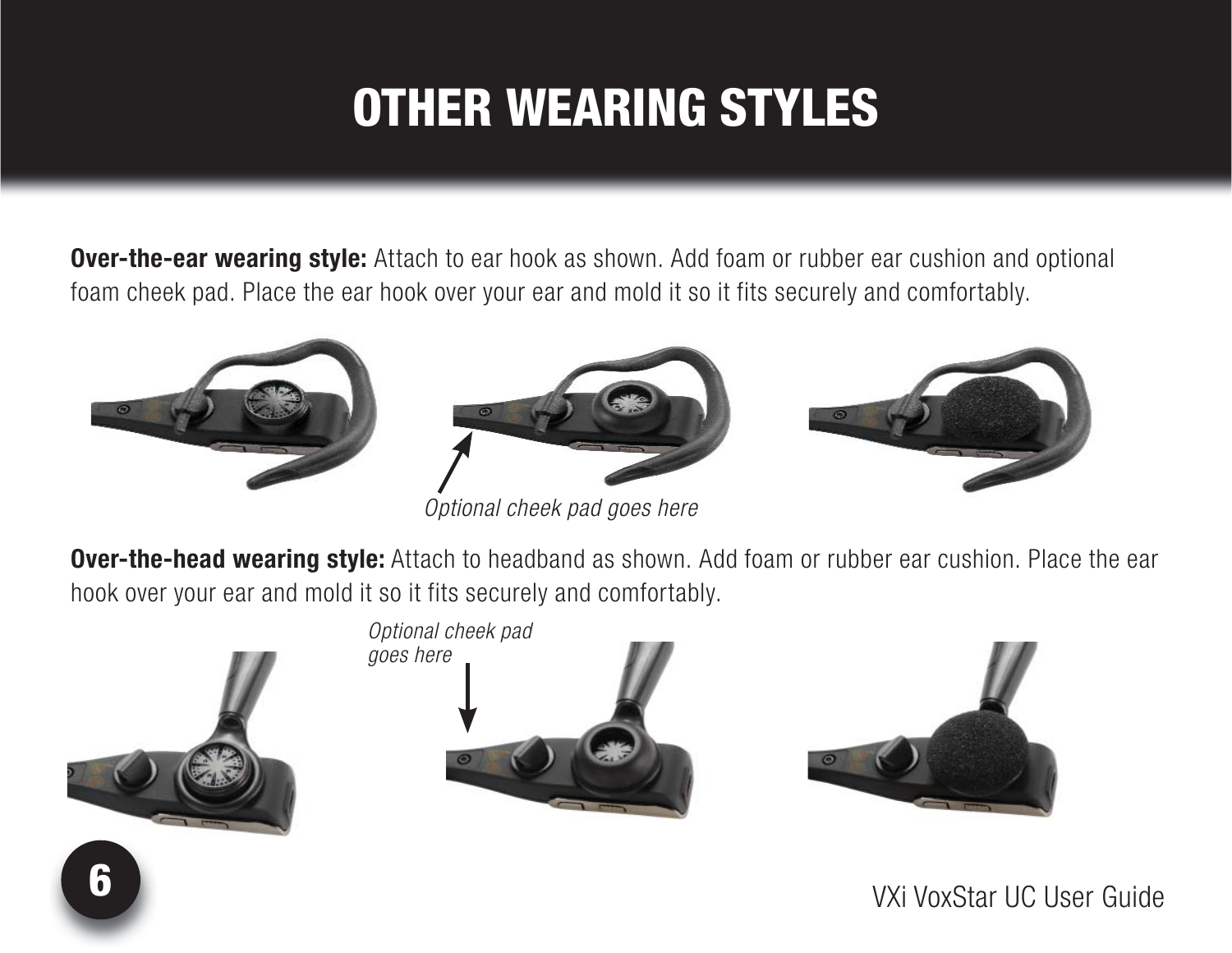# OTHER WEARING STYLES

**Over-the-ear wearing style:** Attach to ear hook as shown. Add foam or rubber ear cushion and optional foam cheek pad. Place the ear hook over your ear and mold it so it fits securely and comfortably.





*Optional cheek pad goes here*



**Over-the-head wearing style:** Attach to headband as shown. Add foam or rubber ear cushion. Place the ear hook over your ear and mold it so it fits securely and comfortably.





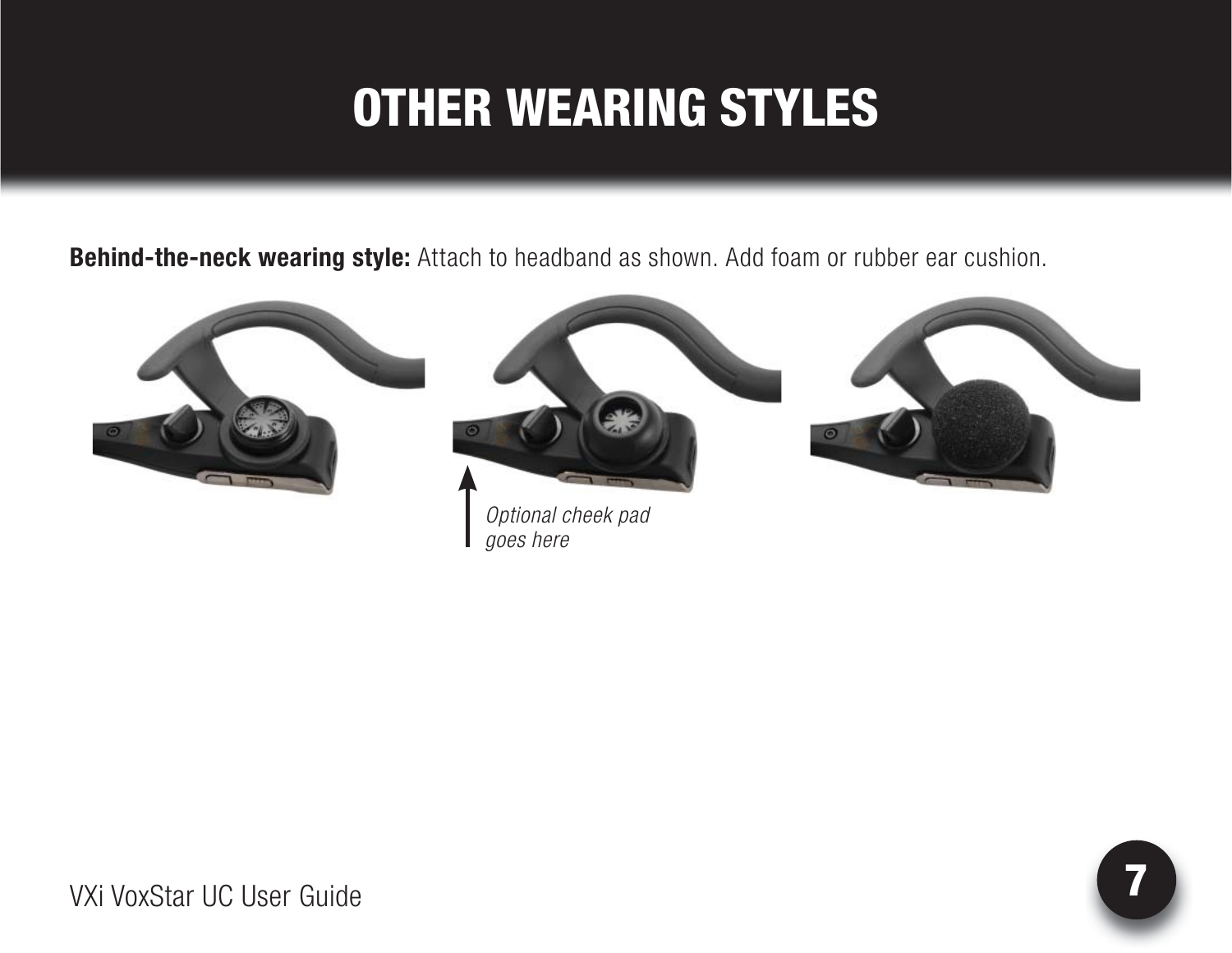### OTHER WEARING STYLES

**Behind-the-neck wearing style:** Attach to headband as shown. Add foam or rubber ear cushion.

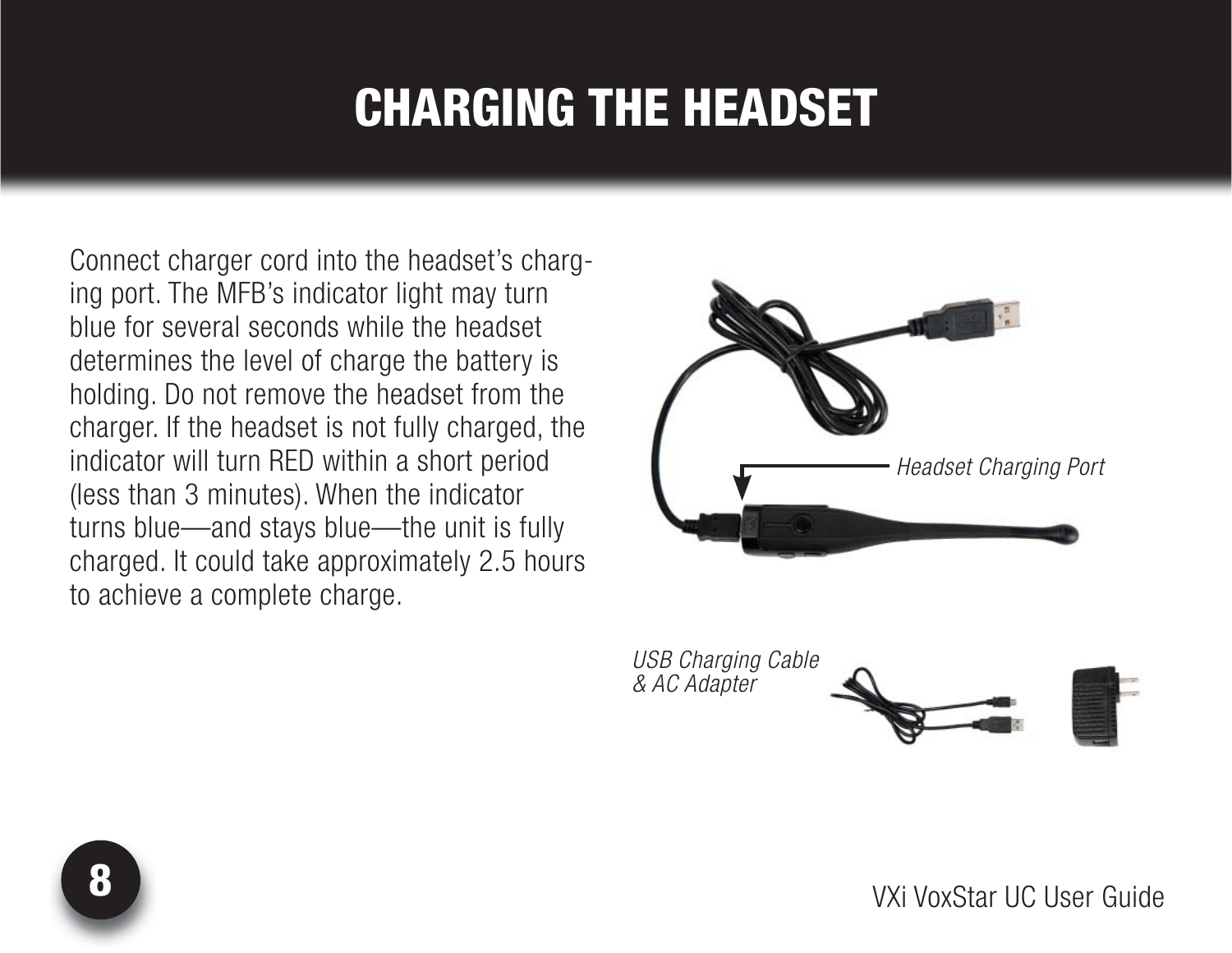### CHARGING THE HEADSET

Connect charger cord into the headset's charging port. The MFB's indicator light may turn blue for several seconds while the headset determines the level of charge the battery is holding. Do not remove the headset from the charger. If the headset is not fully charged, the indicator will turn RED within a short period (less than 3 minutes). When the indicator turns blue—and stays blue—the unit is fully charged. It could take approximately 2.5 hours to achieve a complete charge.



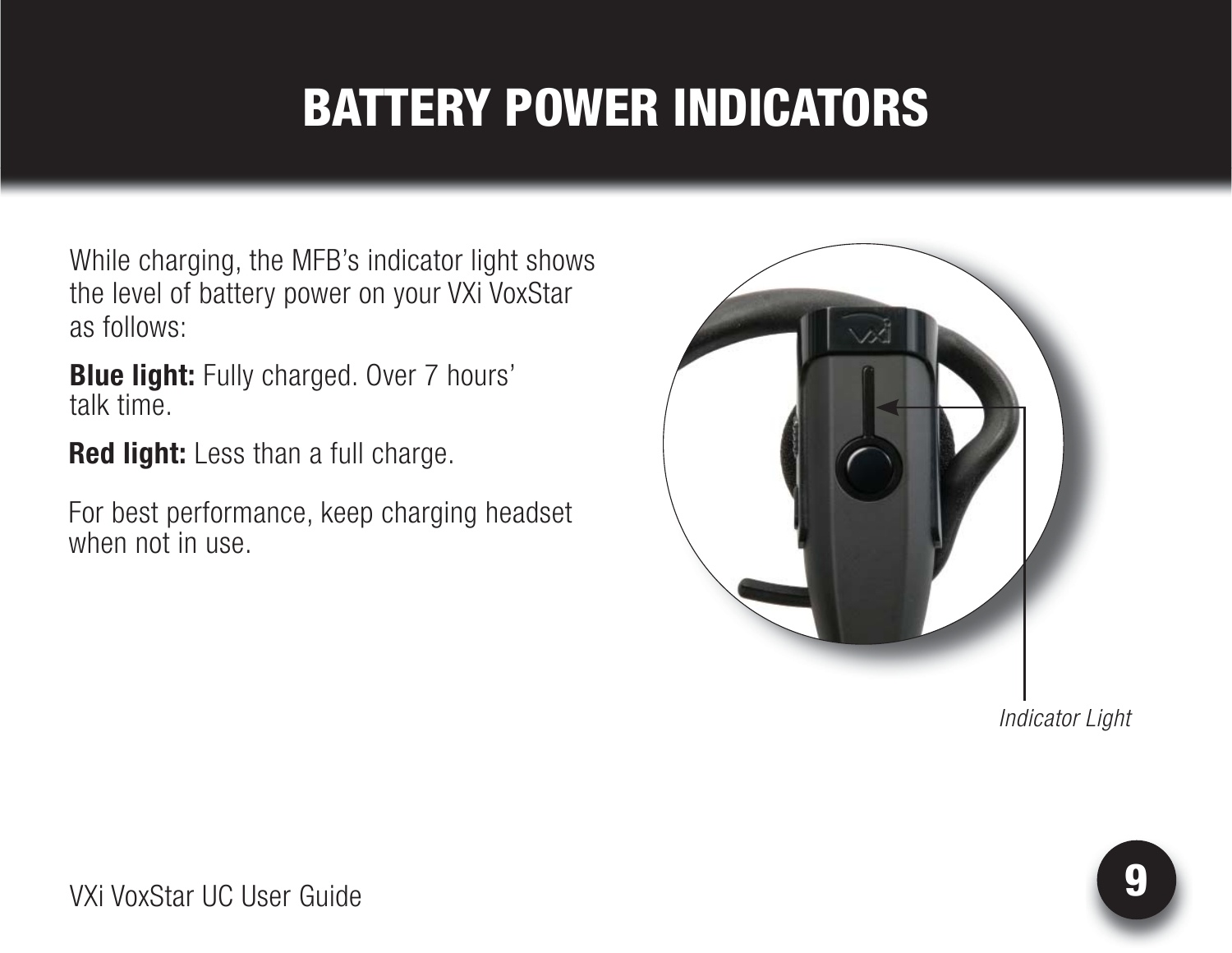# BATTERY POWER INDICATORS

While charging, the MFB's indicator light shows the level of battery power on your VXi VoxStar as follows:

**Blue light:** Fully charged. Over 7 hours' talk time.

**Red light:** Less than a full charge.

For best performance, keep charging headset when not in use.



*Indicator Light*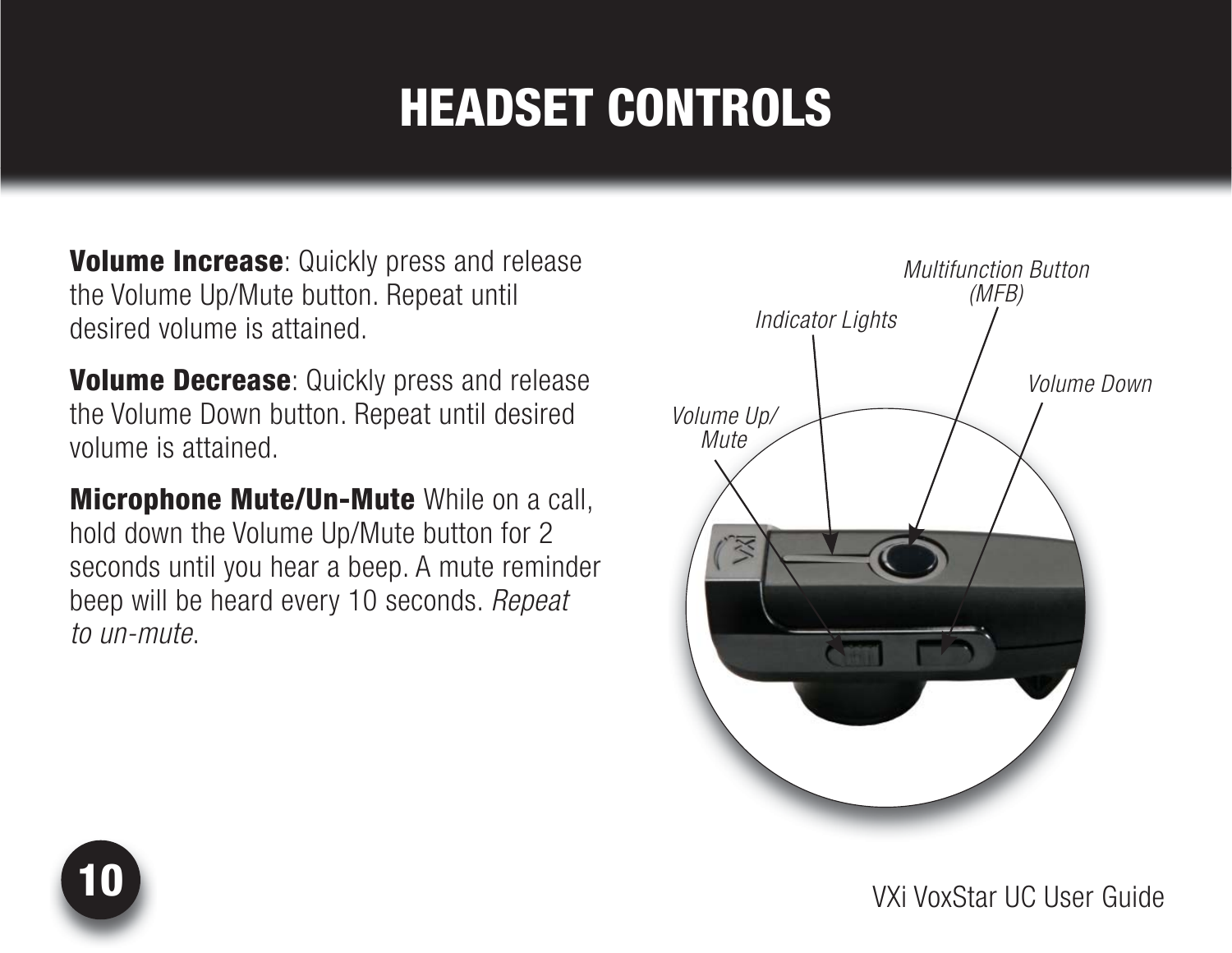# HEADSET CONTROLS

**Volume Increase:** Quickly press and release the Volume Up/Mute button. Repeat until desired volume is attained.

**Volume Decrease:** Quickly press and release the Volume Down button. Repeat until desired volume is attained.

Microphone Mute/Un-Mute While on a call, hold down the Volume Up/Mute button for 2 seconds until you hear a beep. A mute reminder beep will be heard every 10 seconds. *Repeat to un-mute*.



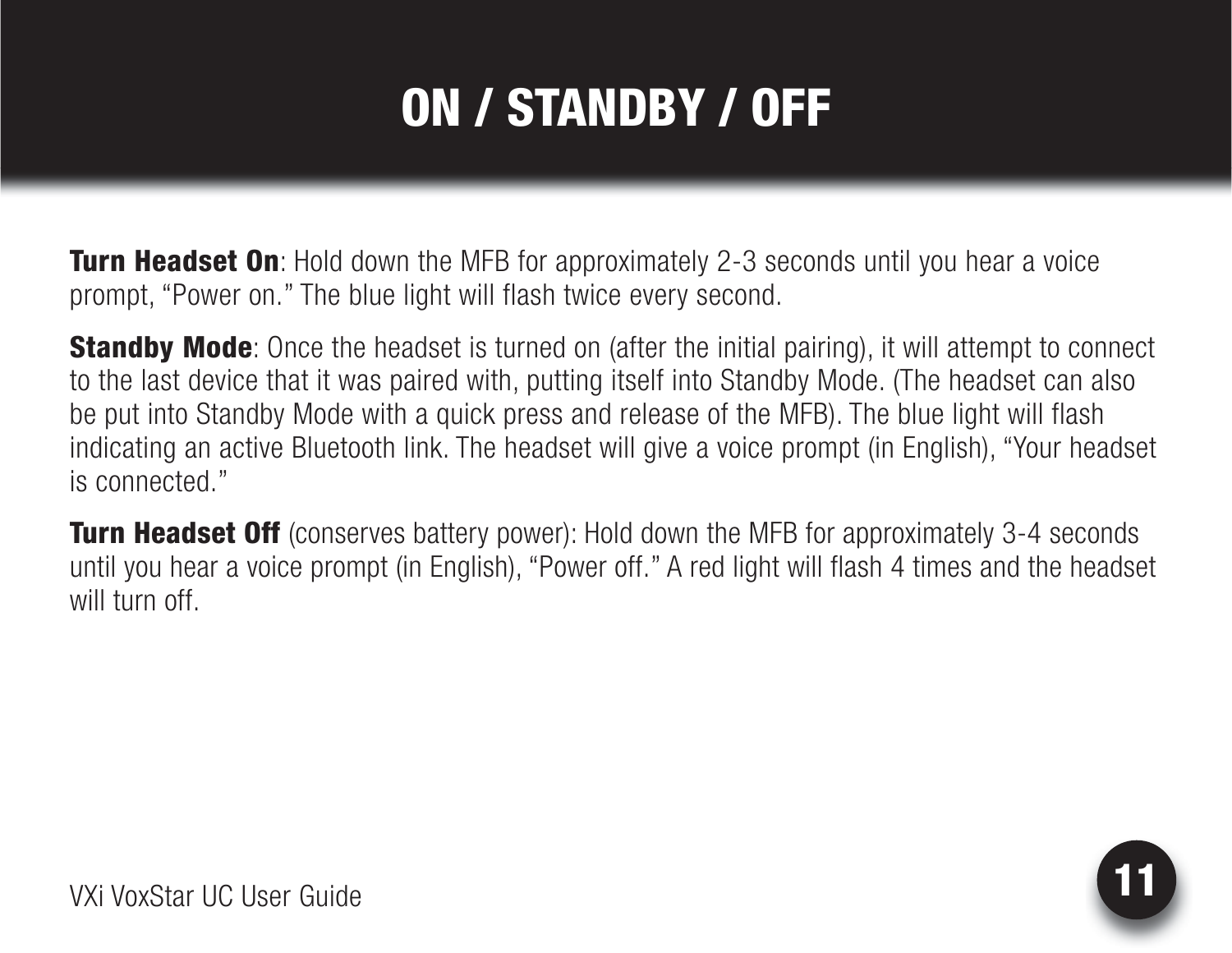# ON / STANDBY / OFF

**Turn Headset On**: Hold down the MFB for approximately 2-3 seconds until you hear a voice prompt, "Power on." The blue light will flash twice every second.

**Standby Mode**: Once the headset is turned on (after the initial pairing), it will attempt to connect to the last device that it was paired with, putting itself into Standby Mode. (The headset can also be put into Standby Mode with a quick press and release of the MFB). The blue light will flash indicating an active Bluetooth link. The headset will give a voice prompt (in English), "Your headset is connected."

**Turn Headset Off** (conserves battery power): Hold down the MFB for approximately 3-4 seconds until you hear a voice prompt (in English), "Power off." A red light will flash 4 times and the headset will turn off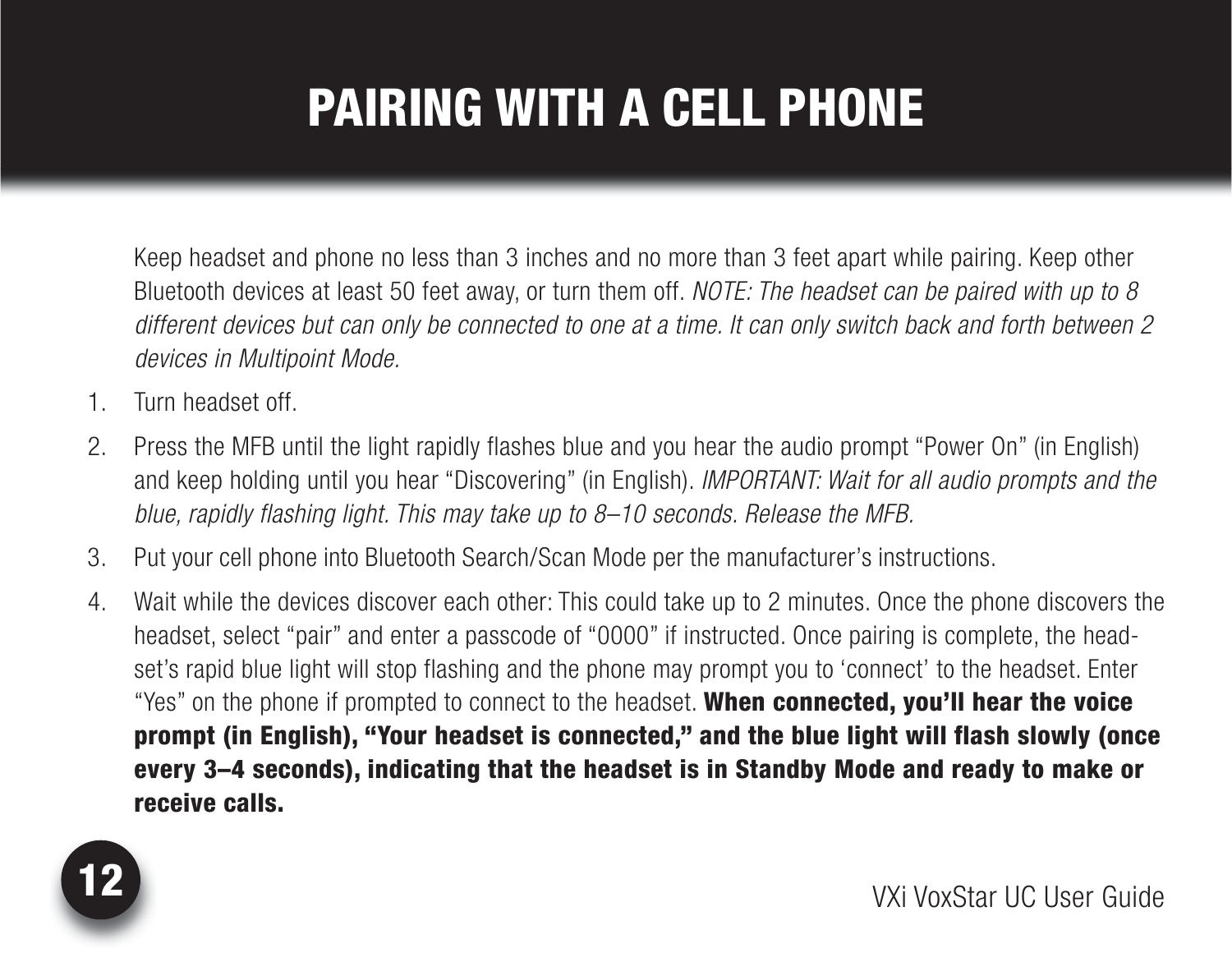# PAIRING WITH A CELL PHONE

 Keep headset and phone no less than 3 inches and no more than 3 feet apart while pairing. Keep other Bluetooth devices at least 50 feet away, or turn them off. *NOTE: The headset can be paired with up to 8 different devices but can only be connected to one at a time. It can only switch back and forth between 2 devices in Multipoint Mode.*

- 1. Turn headset off.
- 2. Press the MFB until the light rapidly flashes blue and you hear the audio prompt "Power On" (in English) and keep holding until you hear "Discovering" (in English). *IMPORTANT: Wait for all audio prompts and the blue, rapidly flashing light. This may take up to 8–10 seconds. Release the MFB.*
- 3. Put your cell phone into Bluetooth Search/Scan Mode per the manufacturer's instructions.
- 4. Wait while the devices discover each other: This could take up to 2 minutes. Once the phone discovers the headset, select "pair" and enter a passcode of "0000" if instructed. Once pairing is complete, the headset's rapid blue light will stop flashing and the phone may prompt you to 'connect' to the headset. Enter "Yes" on the phone if prompted to connect to the headset. When connected, you'll hear the voice prompt (in English), "Your headset is connected," and the blue light will flash slowly (once every 3–4 seconds), indicating that the headset is in Standby Mode and ready to make or receive calls.

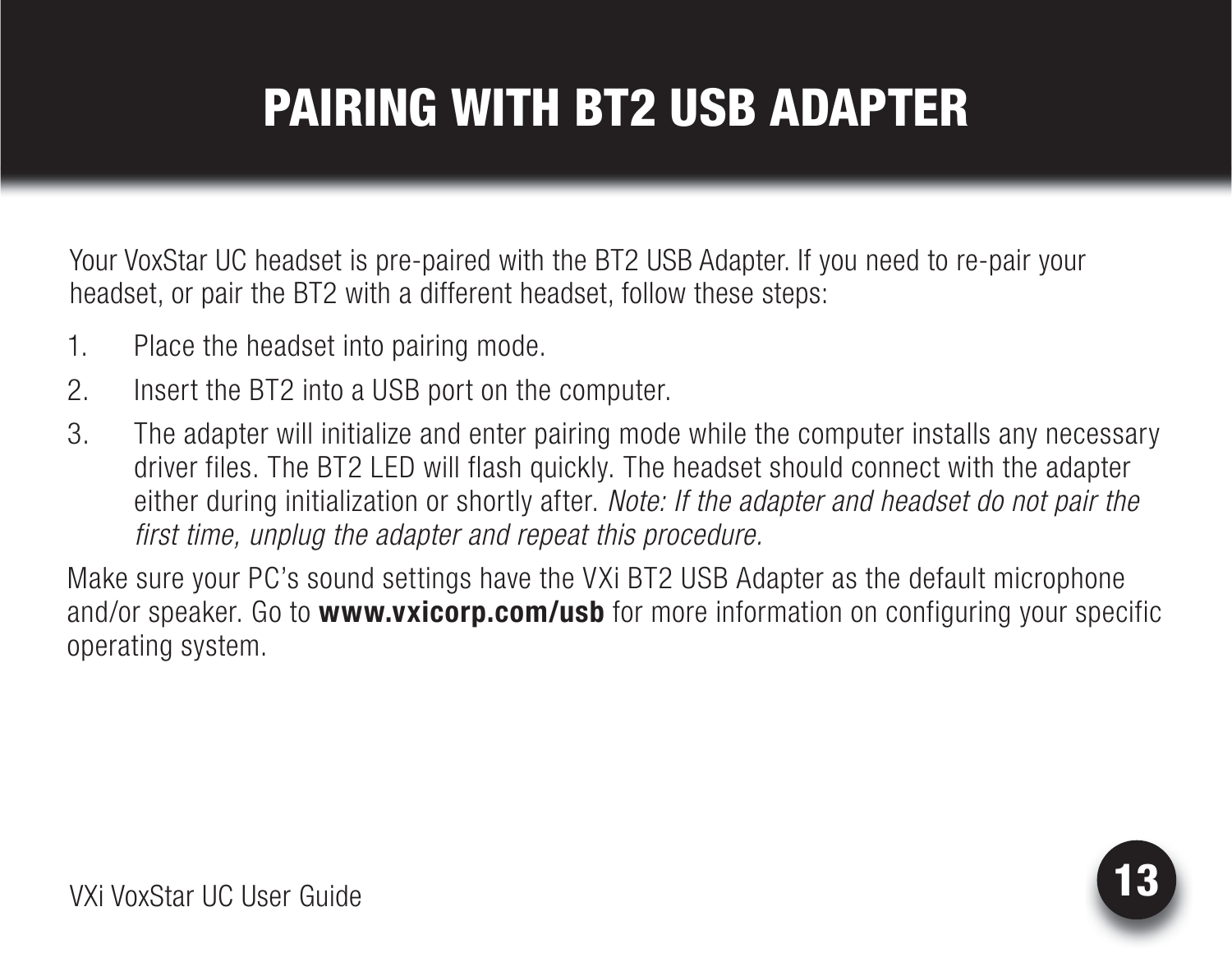# PAIRING WITH BT2 USB ADAPTER

Your VoxStar UC headset is pre-paired with the BT2 USB Adapter. If you need to re-pair your headset, or pair the BT2 with a different headset, follow these steps:

- 1. Place the headset into pairing mode.
- 2. Insert the BT2 into a USB port on the computer.
- 3. The adapter will initialize and enter pairing mode while the computer installs any necessary driver files. The BT2 LED will flash quickly. The headset should connect with the adapter either during initialization or shortly after. *Note: If the adapter and headset do not pair the first time, unplug the adapter and repeat this procedure.*

Make sure your PC's sound settings have the VXi BT2 USB Adapter as the default microphone and/or speaker. Go to **www.vxicorp.com/usb** for more information on configuring your specific operating system.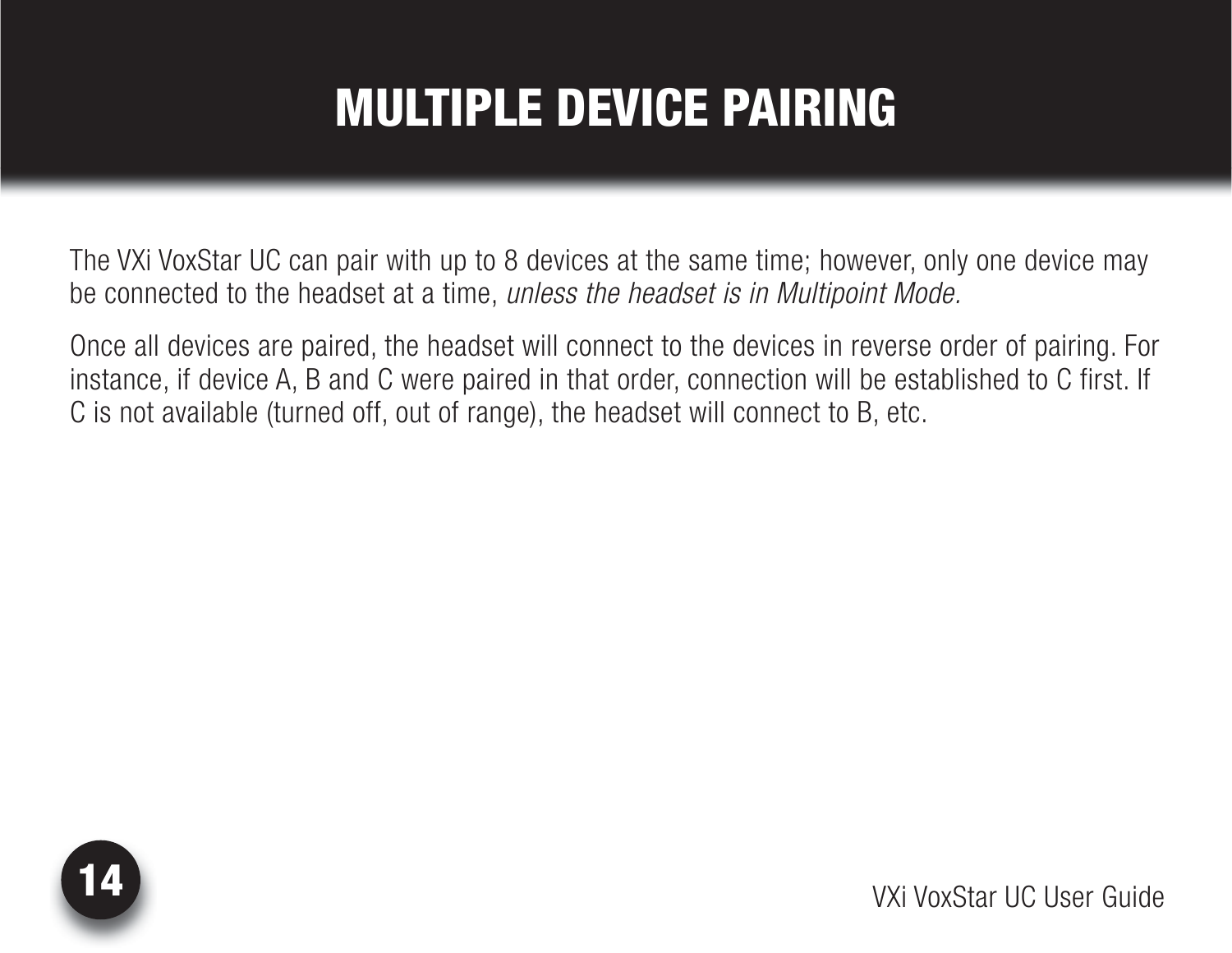## MULTIPLE DEVICE PAIRING

The VXi VoxStar UC can pair with up to 8 devices at the same time; however, only one device may be connected to the headset at a time, *unless the headset is in Multipoint Mode.*

Once all devices are paired, the headset will connect to the devices in reverse order of pairing. For instance, if device A, B and C were paired in that order, connection will be established to C first. If C is not available (turned off, out of range), the headset will connect to B, etc.

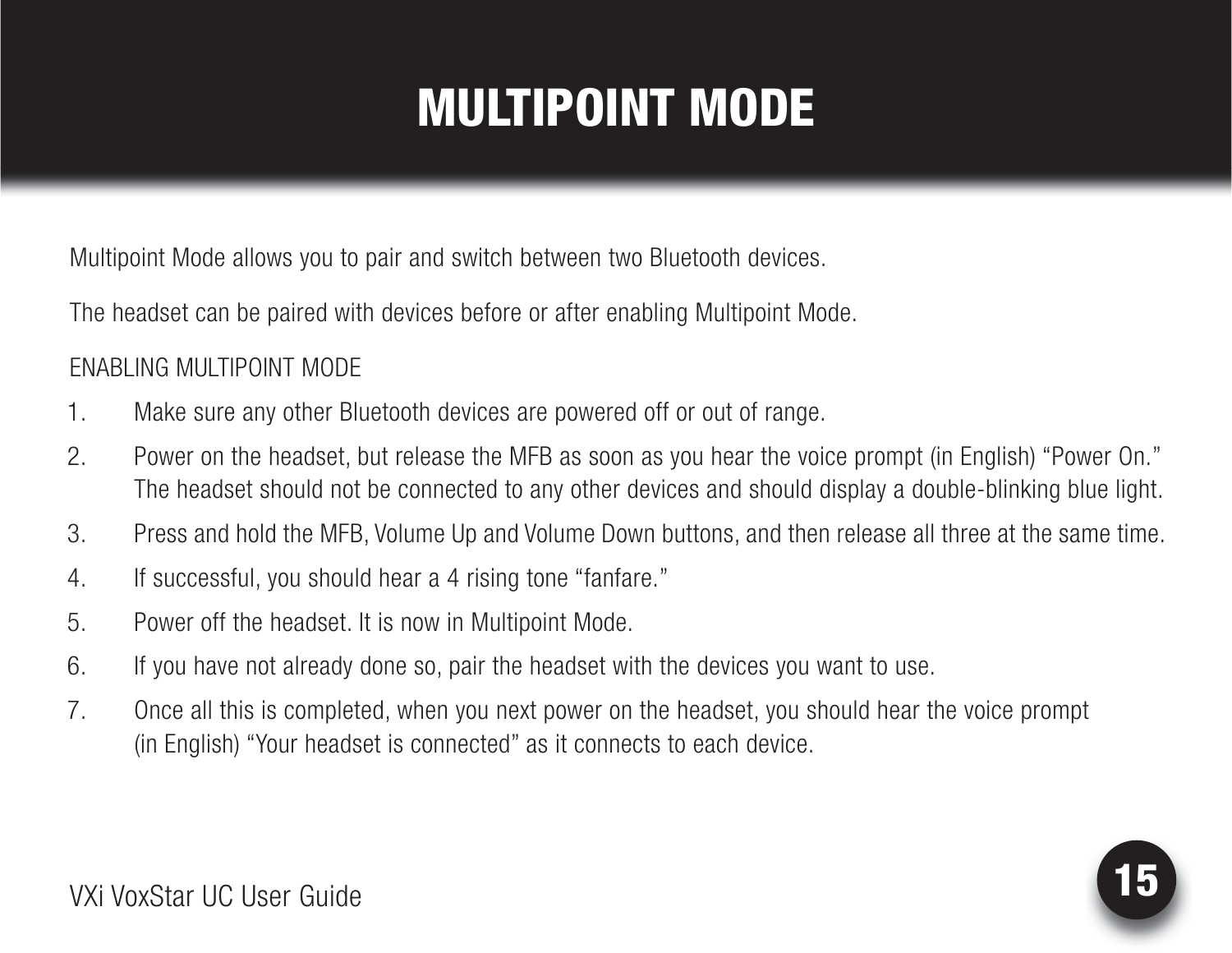# MULTIPOINT MODE

Multipoint Mode allows you to pair and switch between two Bluetooth devices.

The headset can be paired with devices before or after enabling Multipoint Mode.

#### ENABLING MULTIPOINT MODE

- 1. Make sure any other Bluetooth devices are powered off or out of range.
- 2. Power on the headset, but release the MFB as soon as you hear the voice prompt (in English) "Power On." The headset should not be connected to any other devices and should display a double-blinking blue light.
- 3. Press and hold the MFB, Volume Up and Volume Down buttons, and then release all three at the same time.
- 4. If successful, you should hear a 4 rising tone "fanfare."
- 5. Power off the headset. It is now in Multipoint Mode.
- 6. If you have not already done so, pair the headset with the devices you want to use.
- 7. Once all this is completed, when you next power on the headset, you should hear the voice prompt (in English) "Your headset is connected" as it connects to each device.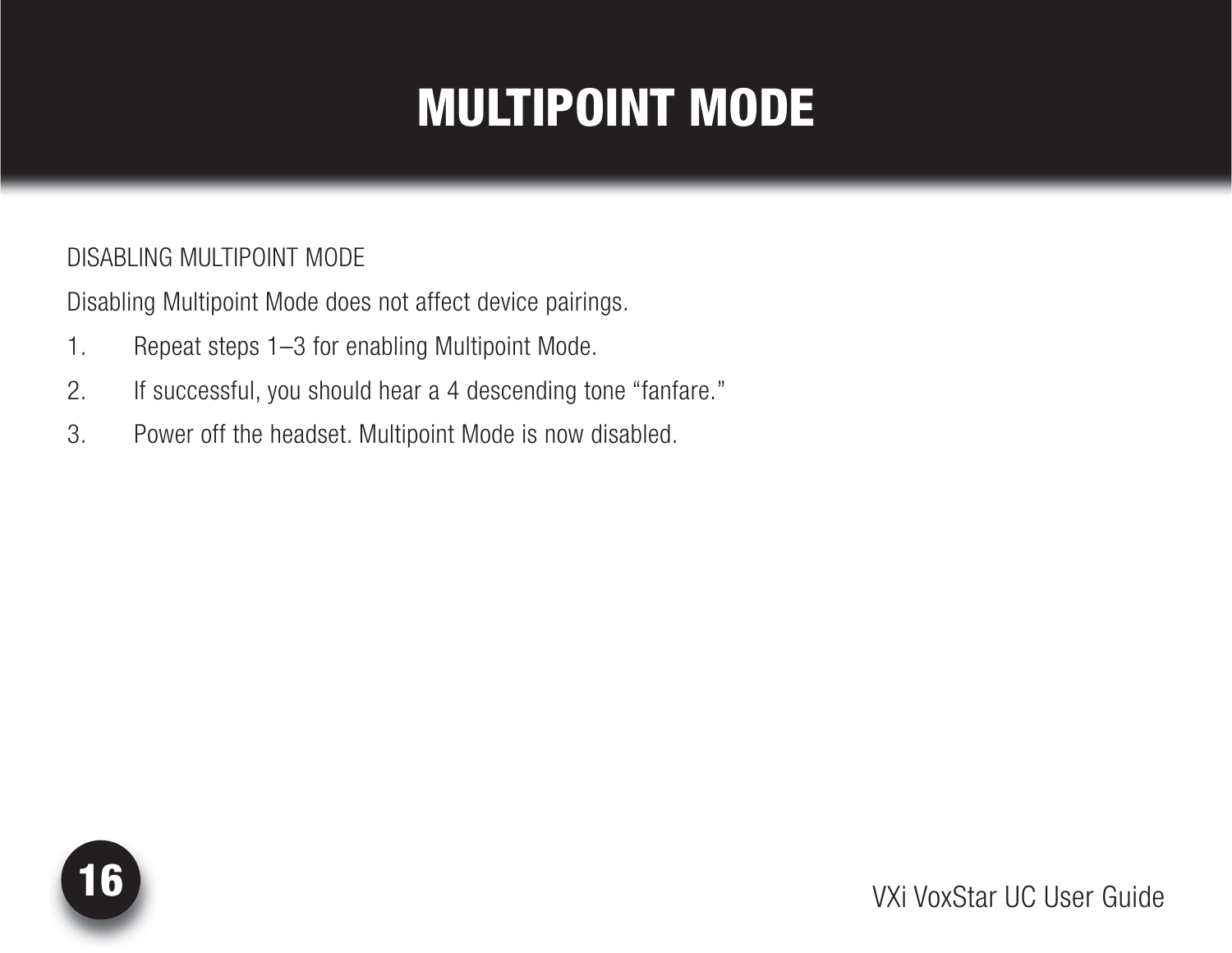# MULTIPOINT MODE

#### DISABLING MULTIPOINT MODE

Disabling Multipoint Mode does not affect device pairings.

- 1. Repeat steps 1–3 for enabling Multipoint Mode.
- 2. If successful, you should hear a 4 descending tone "fanfare."
- 3. Power off the headset. Multipoint Mode is now disabled.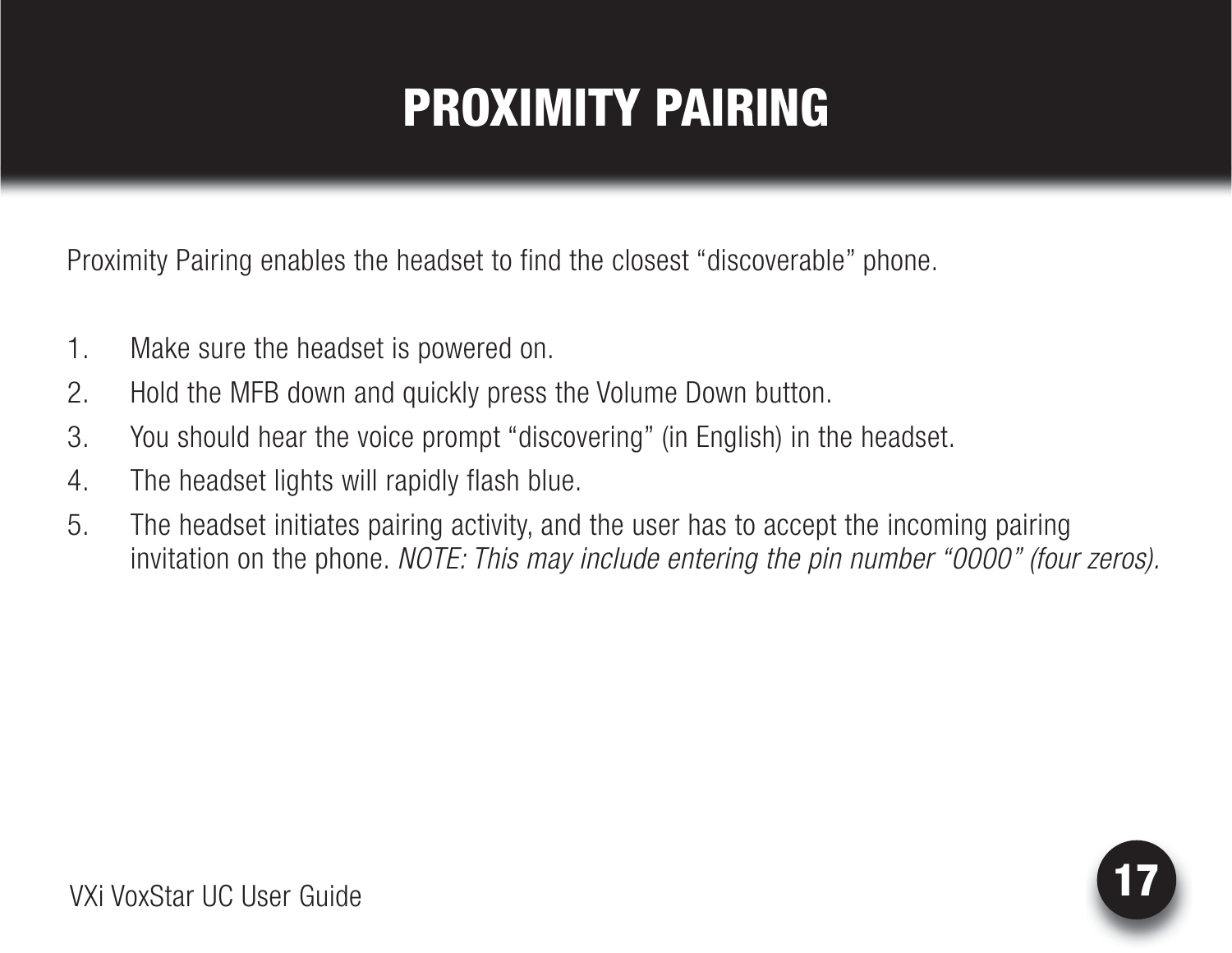# PROXIMITY PAIRING

<span id="page-16-0"></span>Proximity Pairing enables the headset to find the closest "discoverable" phone.

- 1. Make sure the headset is powered on.
- 2. Hold the MFB down and quickly press the Volume Down button.
- 3. You should hear the voice prompt "discovering" (in English) in the headset.
- 4. The headset lights will rapidly flash blue.
- 5. The headset initiates pairing activity, and the user has to accept the incoming pairing invitation on the phone. *NOTE: This may include entering the pin number "0000" (four zeros).*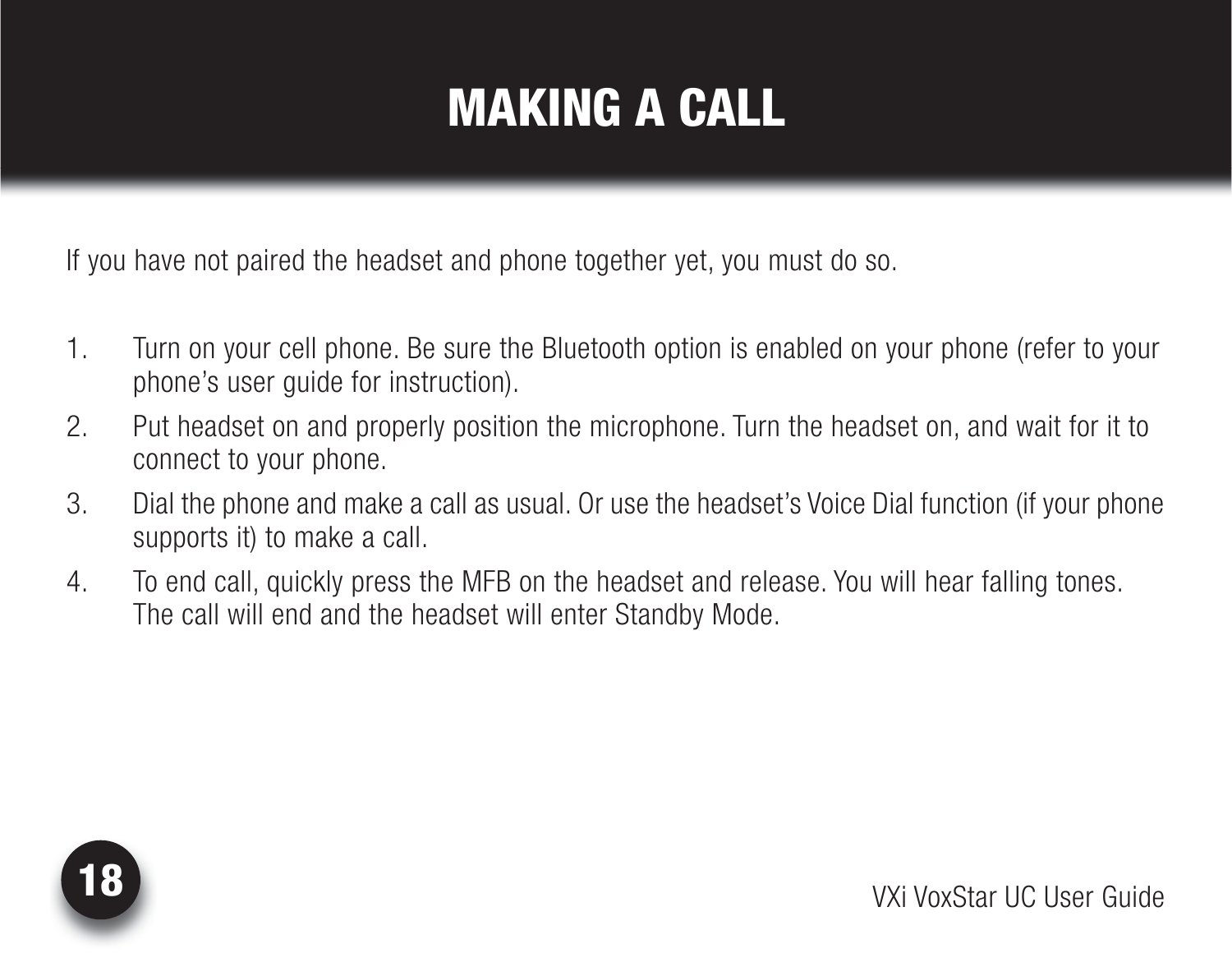# MAKING A CALL

<span id="page-17-0"></span>If you have not paired the headset and phone together yet, you must do so.

- 1. Turn on your cell phone. Be sure the Bluetooth option is enabled on your phone (refer to your phone's user guide for instruction).
- 2. Put headset on and properly position the microphone. Turn the headset on, and wait for it to connect to your phone.
- 3. Dial the phone and make a call as usual. Or use the headset's Voice Dial function (if your phone supports it) to make a call.
- 4. To end call, quickly press the MFB on the headset and release. You will hear falling tones. The call will end and the headset will enter Standby Mode.

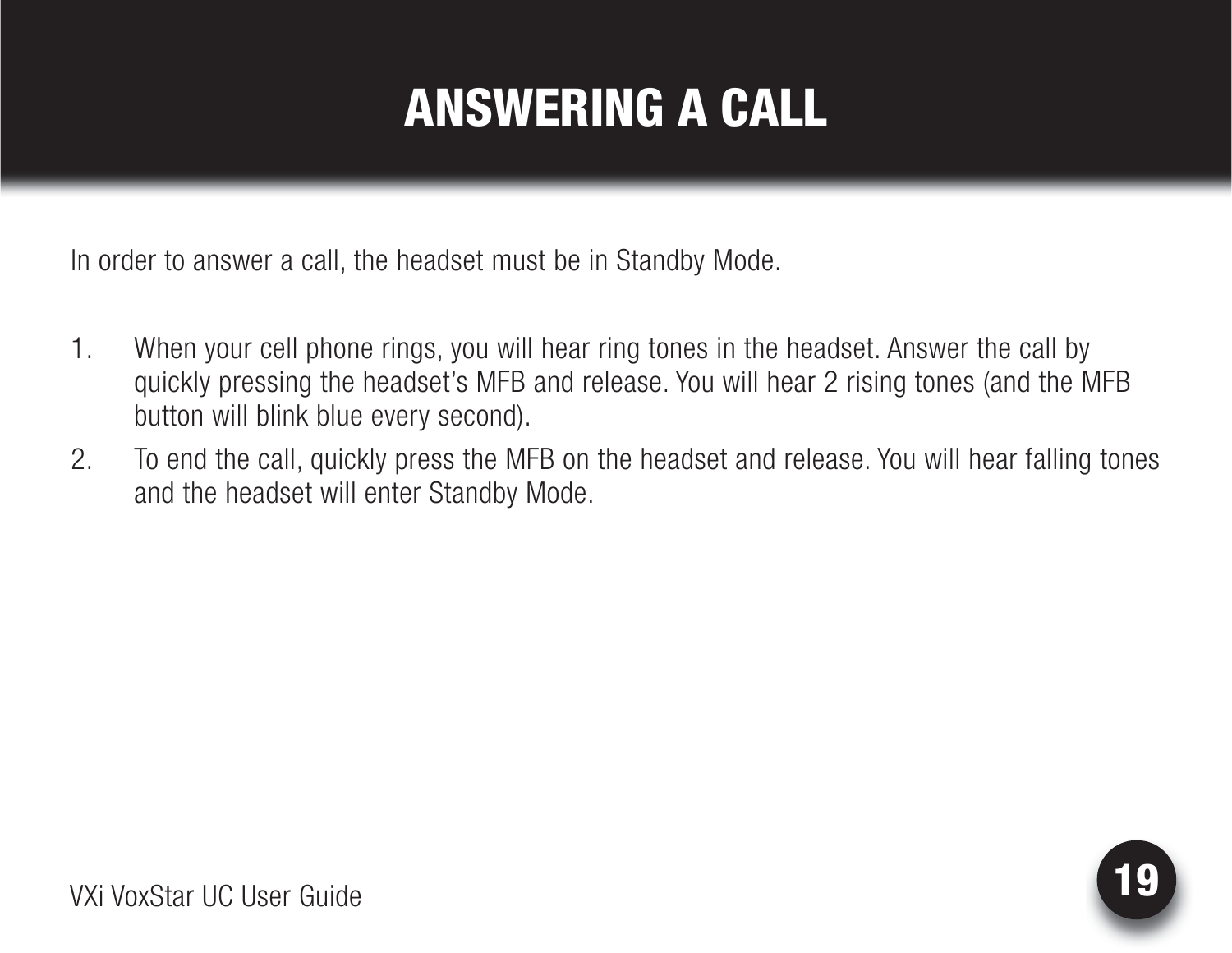# ANSWERING A CALL

<span id="page-18-0"></span>In order to answer a call, the headset must be in Standby Mode.

- 1. When your cell phone rings, you will hear ring tones in the headset. Answer the call by quickly pressing the headset's MFB and release. You will hear 2 rising tones (and the MFB button will blink blue every second).
- 2. To end the call, quickly press the MFB on the headset and release. You will hear falling tones and the headset will enter Standby Mode.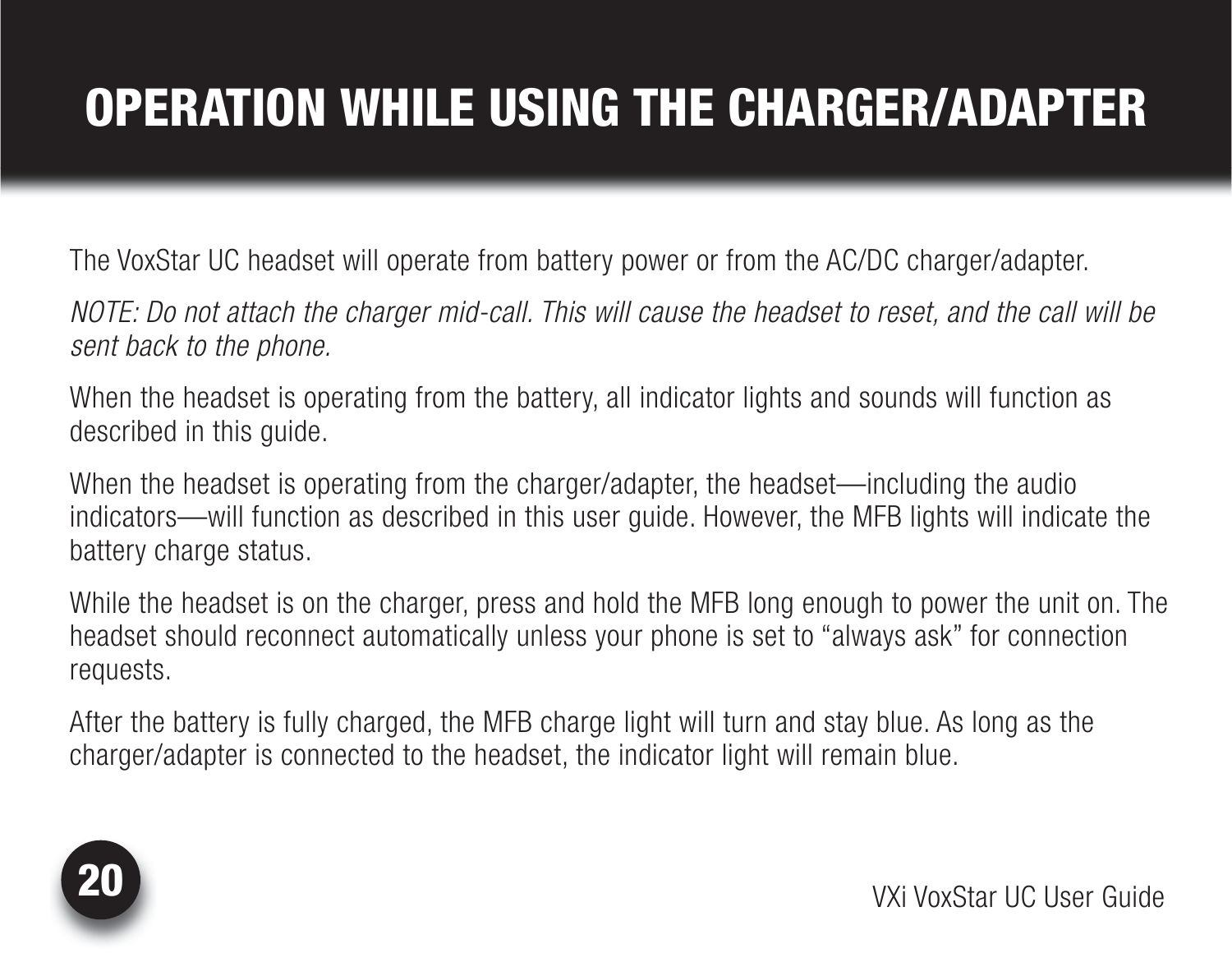# <span id="page-19-0"></span>OPERATION WHILE USING THE CHARGER/ADAPTER

The VoxStar UC headset will operate from battery power or from the AC/DC charger/adapter.

*NOTE: Do not attach the charger mid-call. This will cause the headset to reset, and the call will be sent back to the phone.*

When the headset is operating from the battery, all indicator lights and sounds will function as described in this guide.

When the headset is operating from the charger/adapter, the headset—including the audio indicators—will function as described in this user guide. However, the MFB lights will indicate the battery charge status.

While the headset is on the charger, press and hold the MFB long enough to power the unit on. The headset should reconnect automatically unless your phone is set to "always ask" for connection requests.

After the battery is fully charged, the MFB charge light will turn and stay blue. As long as the charger/adapter is connected to the headset, the indicator light will remain blue.

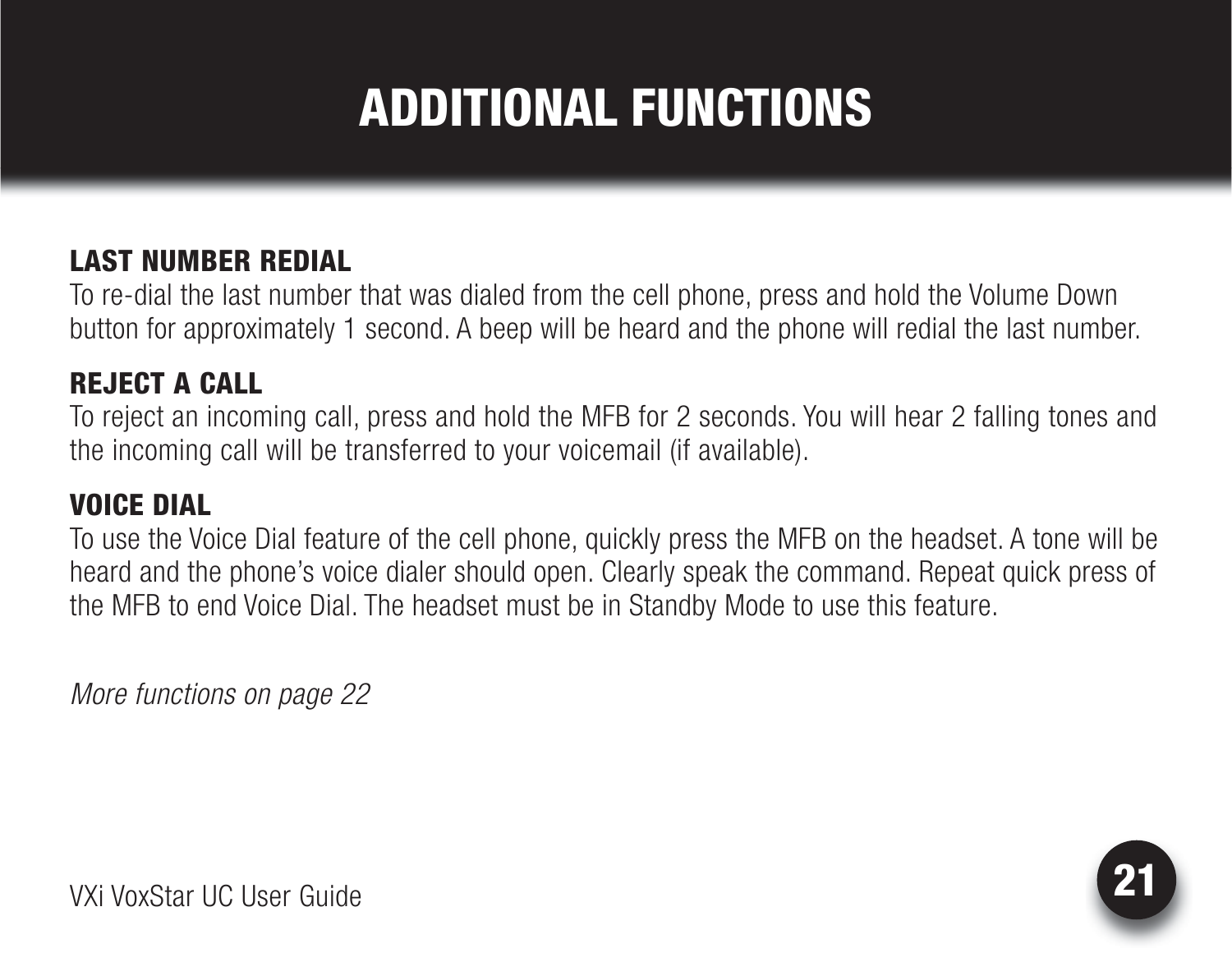# ADDITIONAL FUNCTIONS

#### <span id="page-20-0"></span>LAST NUMBER REDIAL

To re-dial the last number that was dialed from the cell phone, press and hold the Volume Down button for approximately 1 second. A beep will be heard and the phone will redial the last number.

#### REJECT A CALL

To reject an incoming call, press and hold the MFB for 2 seconds. You will hear 2 falling tones and the incoming call will be transferred to your voicemail (if available).

#### VOICE DIAL

To use the Voice Dial feature of the cell phone, quickly press the MFB on the headset. A tone will be heard and the phone's voice dialer should open. Clearly speak the command. Repeat quick press of the MFB to end Voice Dial. The headset must be in Standby Mode to use this feature.

*More functions on page 22*

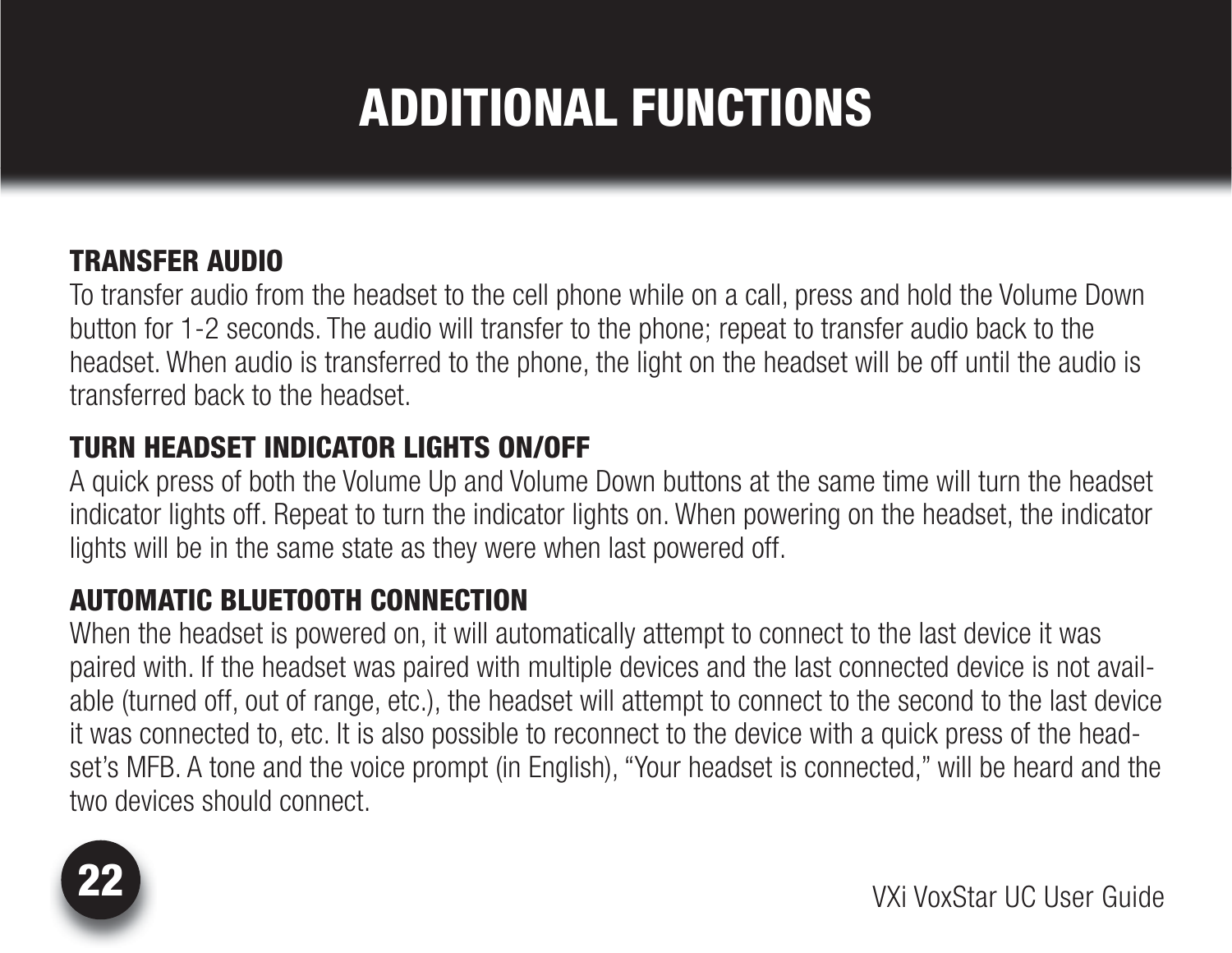# ADDITIONAL FUNCTIONS

#### TRANSFER AUDIO

To transfer audio from the headset to the cell phone while on a call, press and hold the Volume Down button for 1-2 seconds. The audio will transfer to the phone; repeat to transfer audio back to the headset. When audio is transferred to the phone, the light on the headset will be off until the audio is transferred back to the headset.

#### TURN HEADSET INDICATOR LIGHTS ON/OFF

A quick press of both the Volume Up and Volume Down buttons at the same time will turn the headset indicator lights off. Repeat to turn the indicator lights on. When powering on the headset, the indicator lights will be in the same state as they were when last powered off.

#### AUTOMATIC BLUETOOTH CONNECTION

When the headset is powered on, it will automatically attempt to connect to the last device it was paired with. If the headset was paired with multiple devices and the last connected device is not available (turned off, out of range, etc.), the headset will attempt to connect to the second to the last device it was connected to, etc. It is also possible to reconnect to the device with a quick press of the headset's MFB. A tone and the voice prompt (in English), "Your headset is connected," will be heard and the two devices should connect.

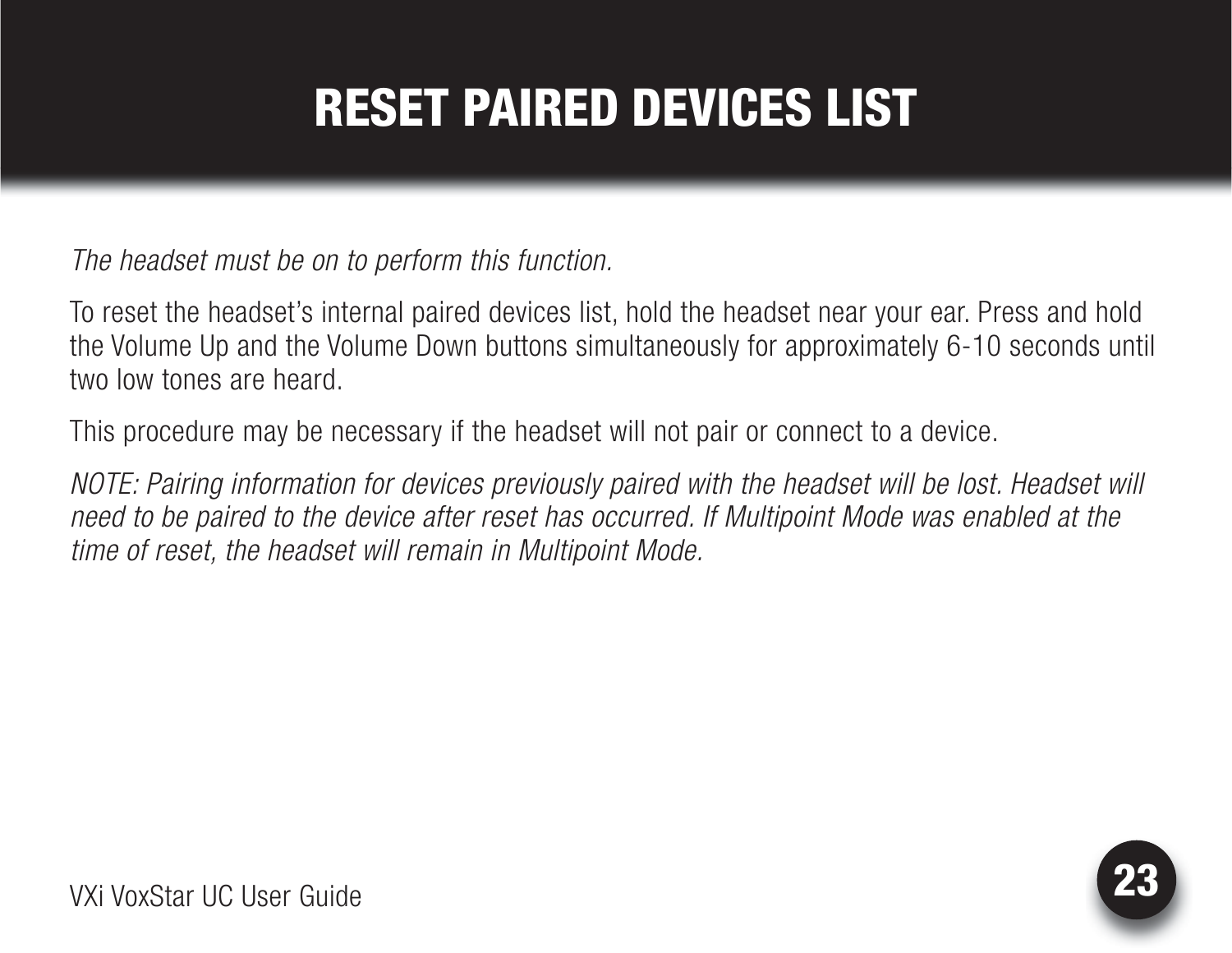# RESET PAIRED DEVICES LIST

<span id="page-22-0"></span>*The headset must be on to perform this function.*

To reset the headset's internal paired devices list, hold the headset near your ear. Press and hold the Volume Up and the Volume Down buttons simultaneously for approximately 6-10 seconds until two low tones are heard.

This procedure may be necessary if the headset will not pair or connect to a device.

*NOTE: Pairing information for devices previously paired with the headset will be lost. Headset will need to be paired to the device after reset has occurred. If Multipoint Mode was enabled at the time of reset, the headset will remain in Multipoint Mode.*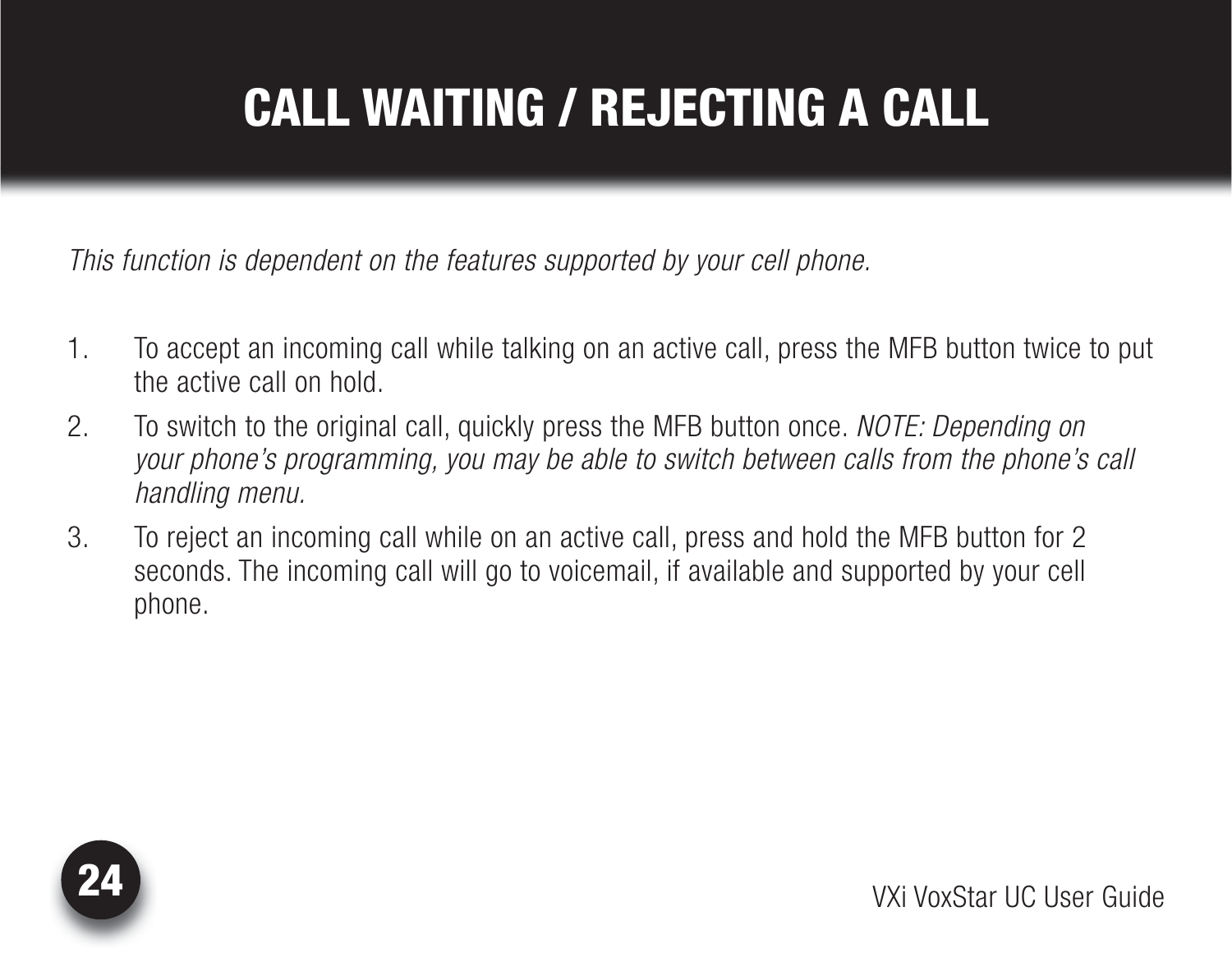# <span id="page-23-0"></span>CALL WAITING / REJECTING A CALL

*This function is dependent on the features supported by your cell phone.*

- 1. To accept an incoming call while talking on an active call, press the MFB button twice to put the active call on hold.
- 2. To switch to the original call, quickly press the MFB button once. *NOTE: Depending on your phone's programming, you may be able to switch between calls from the phone's call handling menu.*
- 3. To reject an incoming call while on an active call, press and hold the MFB button for 2 seconds. The incoming call will go to voicemail, if available and supported by your cell phone.

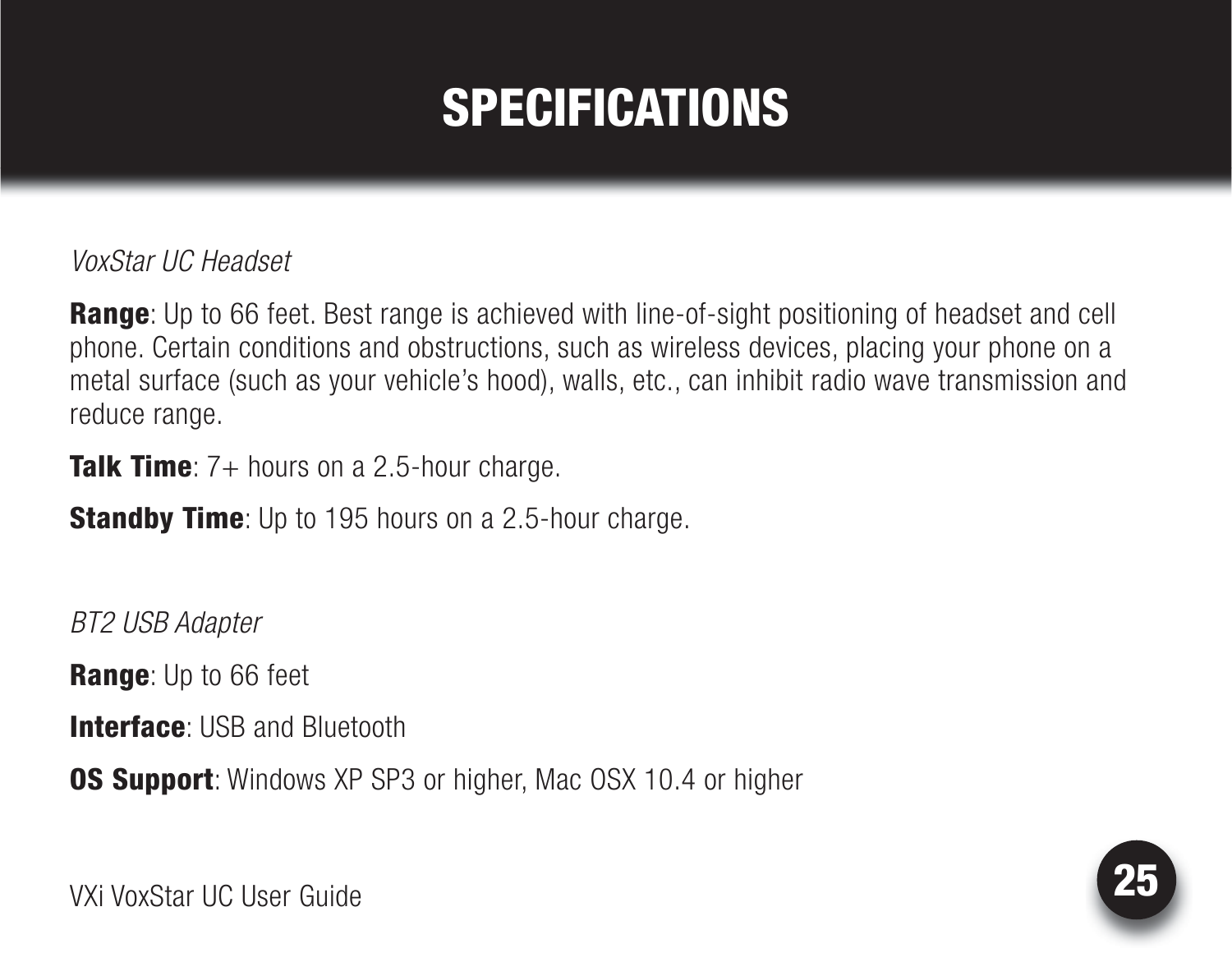### SPECIFICATIONS

<span id="page-24-0"></span>*VoxStar UC Headset*

**Range**: Up to 66 feet. Best range is achieved with line-of-sight positioning of headset and cell phone. Certain conditions and obstructions, such as wireless devices, placing your phone on a metal surface (such as your vehicle's hood), walls, etc., can inhibit radio wave transmission and reduce range.

**Talk Time**:  $7+$  hours on a 2.5-hour charge.

**Standby Time**: Up to 195 hours on a 2.5-hour charge.

*BT2 USB Adapter*

**Range:** Up to 66 feet

**Interface: USB and Bluetooth** 

**OS Support:** Windows XP SP3 or higher, Mac OSX 10.4 or higher

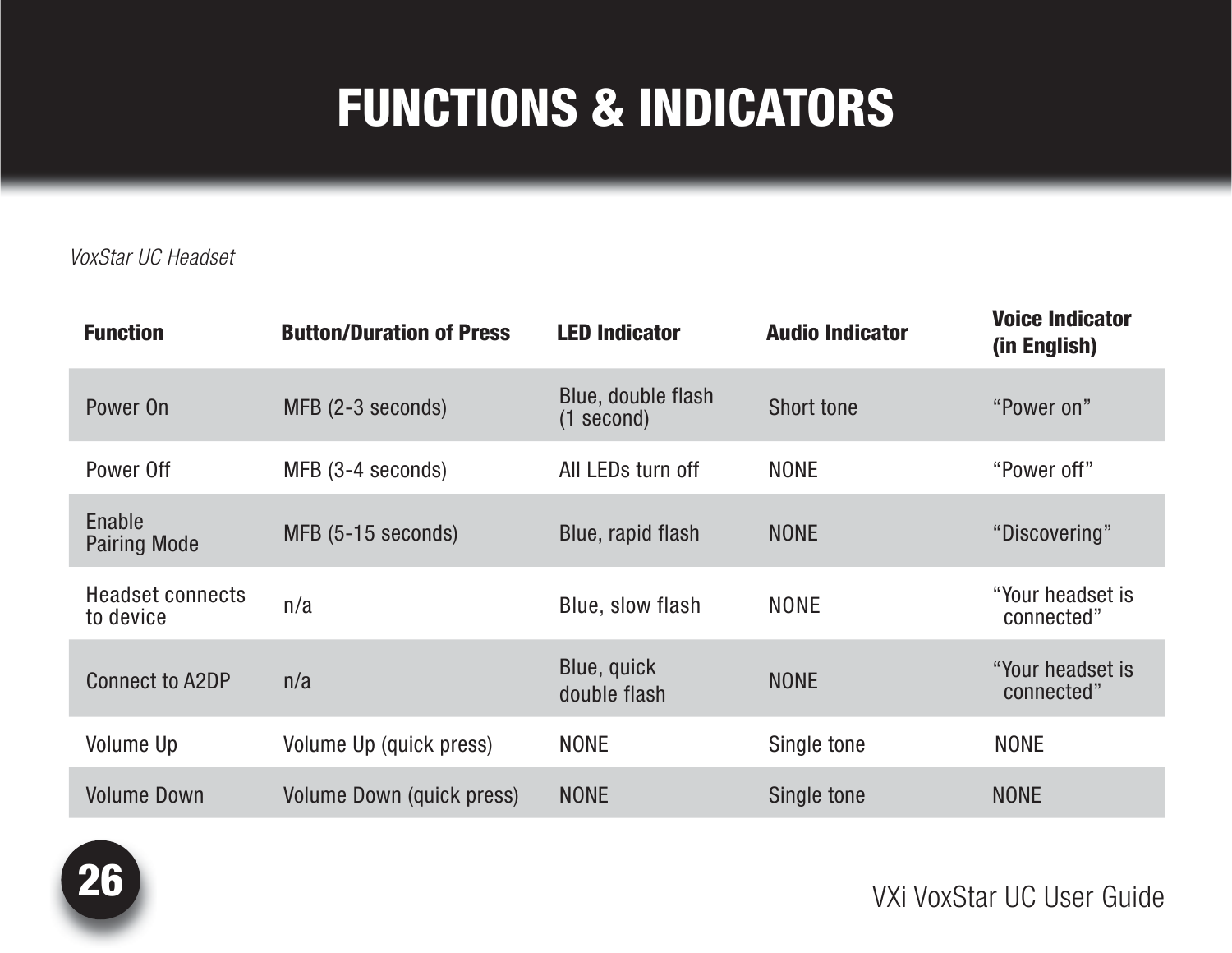#### <span id="page-25-0"></span>*VoxStar UC Headset*

| <b>Function</b>                      | <b>Button/Duration of Press</b> | <b>LED Indicator</b>               | <b>Audio Indicator</b> | <b>Voice Indicator</b><br>(in English) |
|--------------------------------------|---------------------------------|------------------------------------|------------------------|----------------------------------------|
| Power On                             | MFB (2-3 seconds)               | Blue, double flash<br>$(1$ second) | Short tone             | "Power on"                             |
| Power Off                            | MFB (3-4 seconds)               | All LEDs turn off                  | <b>NONE</b>            | "Power off"                            |
| Enable<br><b>Pairing Mode</b>        | MFB (5-15 seconds)              | Blue, rapid flash                  | <b>NONE</b>            | "Discovering"                          |
| <b>Headset connects</b><br>to device | n/a                             | Blue, slow flash                   | <b>NONE</b>            | "Your headset is<br>connected"         |
| <b>Connect to A2DP</b>               | n/a                             | Blue, quick<br>double flash        | <b>NONE</b>            | "Your headset is<br>connected"         |
| <b>Volume Up</b>                     | Volume Up (quick press)         | <b>NONE</b>                        | Single tone            | <b>NONE</b>                            |
| <b>Volume Down</b>                   | Volume Down (quick press)       | <b>NONE</b>                        | Single tone            | <b>NONE</b>                            |

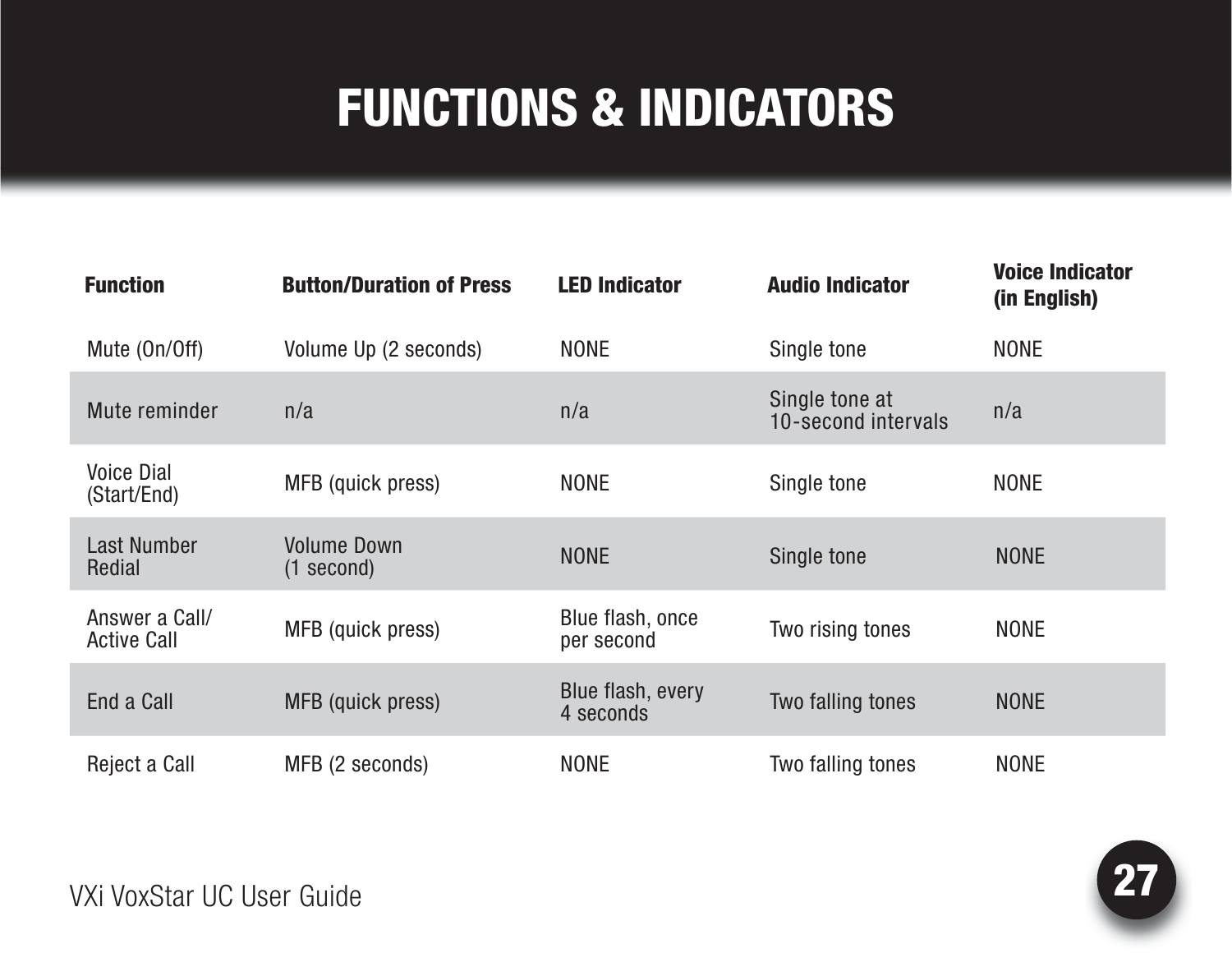| <b>Function</b>                      | <b>Button/Duration of Press</b>    | <b>LED Indicator</b>           | <b>Audio Indicator</b>                | <b>Voice Indicator</b><br>(in English) |
|--------------------------------------|------------------------------------|--------------------------------|---------------------------------------|----------------------------------------|
| Mute (On/Off)                        | Volume Up (2 seconds)              | <b>NONE</b>                    | Single tone                           | <b>NONE</b>                            |
| Mute reminder                        | n/a                                | n/a                            | Single tone at<br>10-second intervals | n/a                                    |
| <b>Voice Dial</b><br>(Start/End)     | MFB (quick press)                  | <b>NONE</b>                    | Single tone                           | <b>NONE</b>                            |
| <b>Last Number</b><br>Redial         | <b>Volume Down</b><br>$(1$ second) | <b>NONE</b>                    | Single tone                           | <b>NONE</b>                            |
| Answer a Call/<br><b>Active Call</b> | MFB (quick press)                  | Blue flash, once<br>per second | Two rising tones                      | <b>NONE</b>                            |
| End a Call                           | MFB (quick press)                  | Blue flash, every<br>4 seconds | Two falling tones                     | <b>NONE</b>                            |
| Reject a Call                        | MFB (2 seconds)                    | <b>NONE</b>                    | Two falling tones                     | <b>NONE</b>                            |

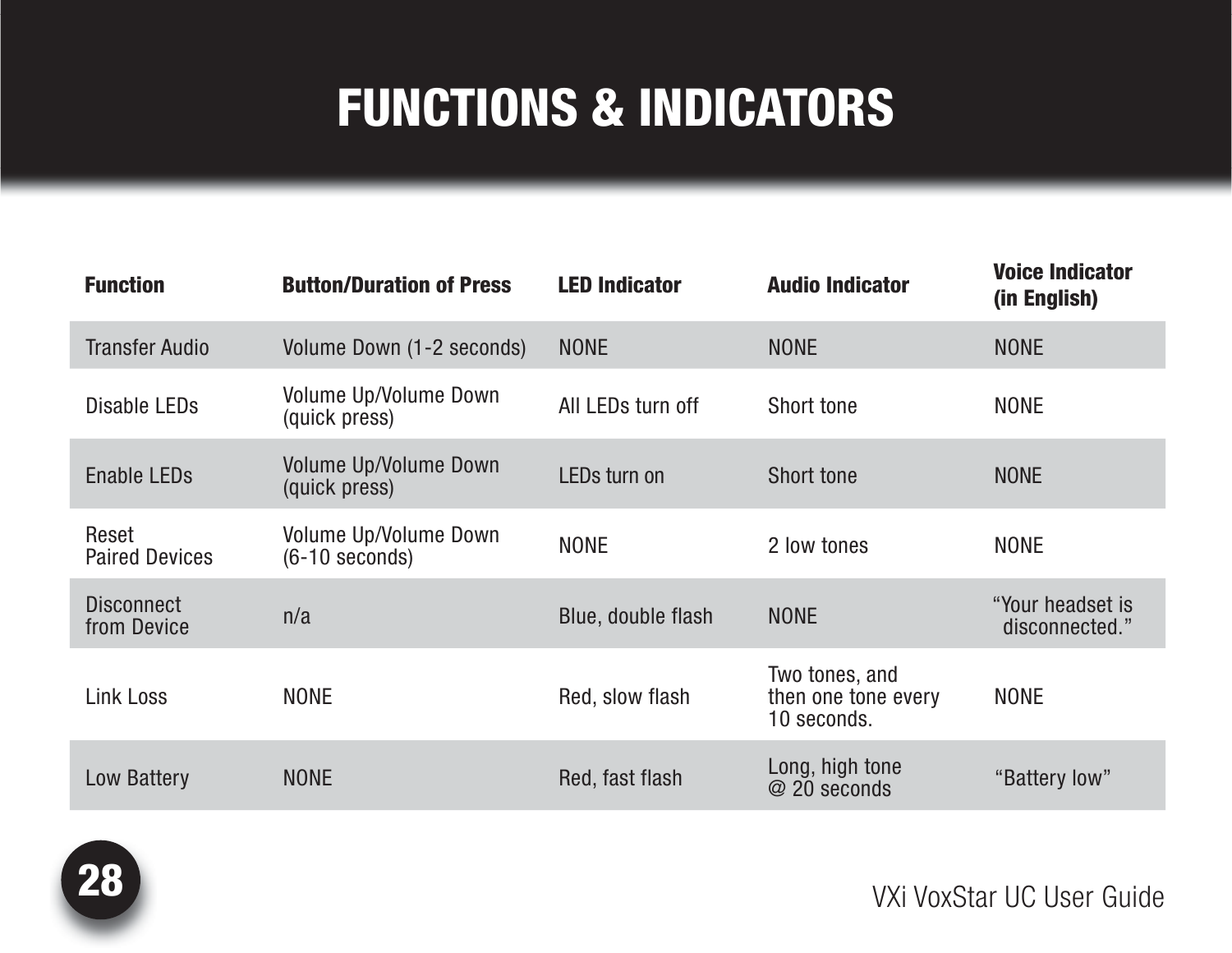| <b>Function</b>                  | <b>Button/Duration of Press</b>               | <b>LED Indicator</b> | <b>Audio Indicator</b>                               | <b>Voice Indicator</b><br>(in English) |
|----------------------------------|-----------------------------------------------|----------------------|------------------------------------------------------|----------------------------------------|
| <b>Transfer Audio</b>            | Volume Down (1-2 seconds)                     | <b>NONE</b>          | <b>NONE</b>                                          | <b>NONE</b>                            |
| Disable LEDs                     | Volume Up/Volume Down<br>(quick press)        | All LEDs turn off    | <b>Short tone</b>                                    | <b>NONE</b>                            |
| <b>Enable LEDs</b>               | <b>Volume Up/Volume Down</b><br>(quick press) | LEDs turn on         | <b>Short tone</b>                                    | <b>NONE</b>                            |
| Reset<br><b>Paired Devices</b>   | Volume Up/Volume Down<br>(6-10 seconds)       | <b>NONE</b>          | 2 low tones                                          | <b>NONE</b>                            |
| <b>Disconnect</b><br>from Device | n/a                                           | Blue, double flash   | <b>NONE</b>                                          | "Your headset is<br>disconnected."     |
| <b>Link Loss</b>                 | <b>NONE</b>                                   | Red, slow flash      | Two tones, and<br>then one tone every<br>10 seconds. | <b>NONE</b>                            |
| Low Battery                      | <b>NONE</b>                                   | Red, fast flash      | Long, high tone<br>@ 20 seconds                      | "Battery low"                          |

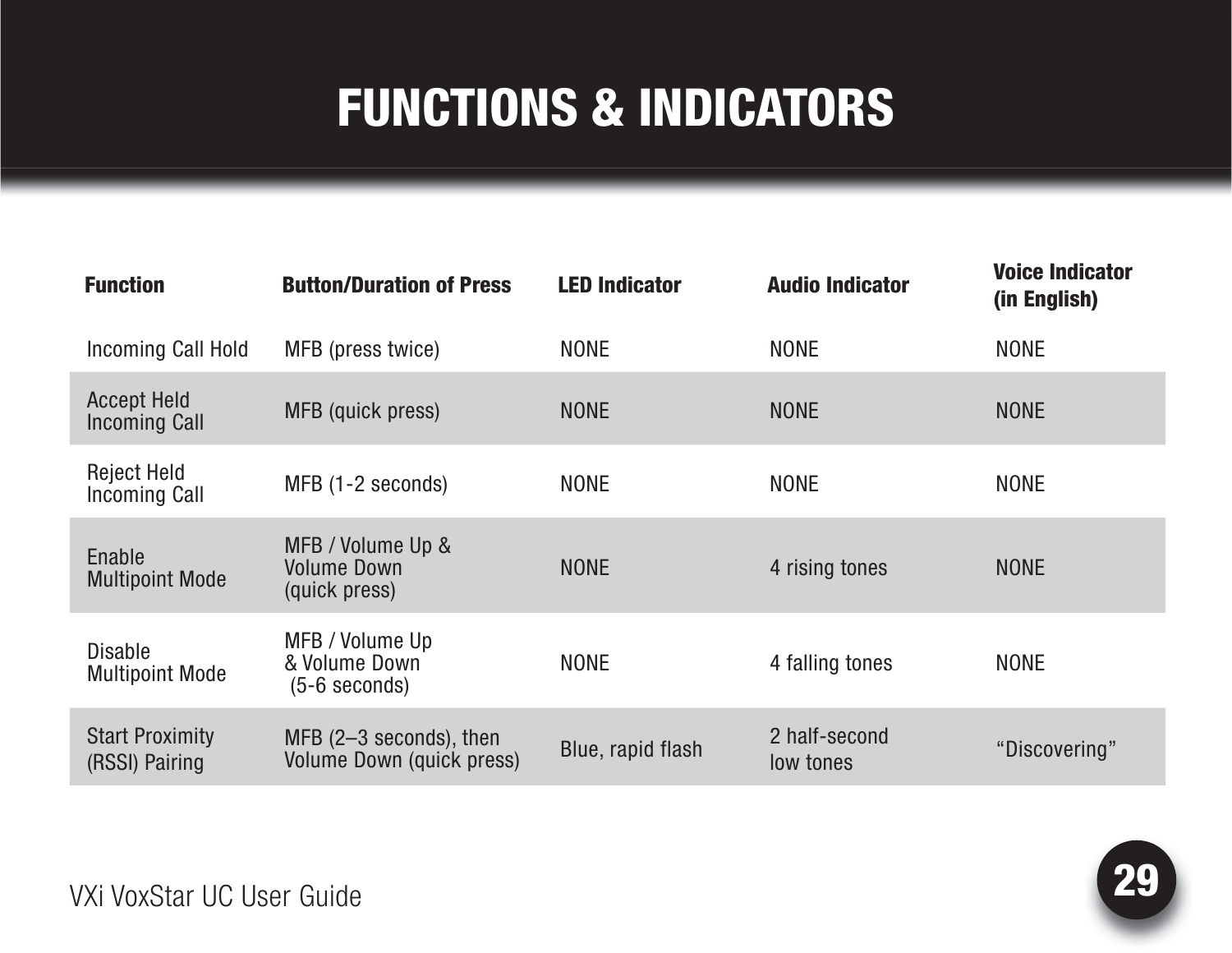| <b>Function</b>                            | <b>Button/Duration of Press</b>                          | <b>LED Indicator</b> | <b>Audio Indicator</b>     | <b>Voice Indicator</b><br>(in English) |
|--------------------------------------------|----------------------------------------------------------|----------------------|----------------------------|----------------------------------------|
| Incoming Call Hold                         | MFB (press twice)                                        | <b>NONE</b>          | <b>NONE</b>                | <b>NONE</b>                            |
| <b>Accept Held</b><br><b>Incoming Call</b> | MFB (quick press)                                        | <b>NONE</b>          | <b>NONE</b>                | <b>NONE</b>                            |
| <b>Reject Held</b><br><b>Incoming Call</b> | MFB (1-2 seconds)                                        | <b>NONE</b>          | <b>NONE</b>                | <b>NONE</b>                            |
| Enable<br><b>Multipoint Mode</b>           | MFB / Volume Up &<br><b>Volume Down</b><br>(quick press) | <b>NONE</b>          | 4 rising tones             | <b>NONE</b>                            |
| <b>Disable</b><br><b>Multipoint Mode</b>   | MFB / Volume Up<br>& Volume Down<br>$(5-6$ seconds)      | <b>NONE</b>          | 4 falling tones            | <b>NONE</b>                            |
| <b>Start Proximity</b><br>(RSSI) Pairing   | MFB $(2-3$ seconds), then<br>Volume Down (quick press)   | Blue, rapid flash    | 2 half-second<br>low tones | "Discovering"                          |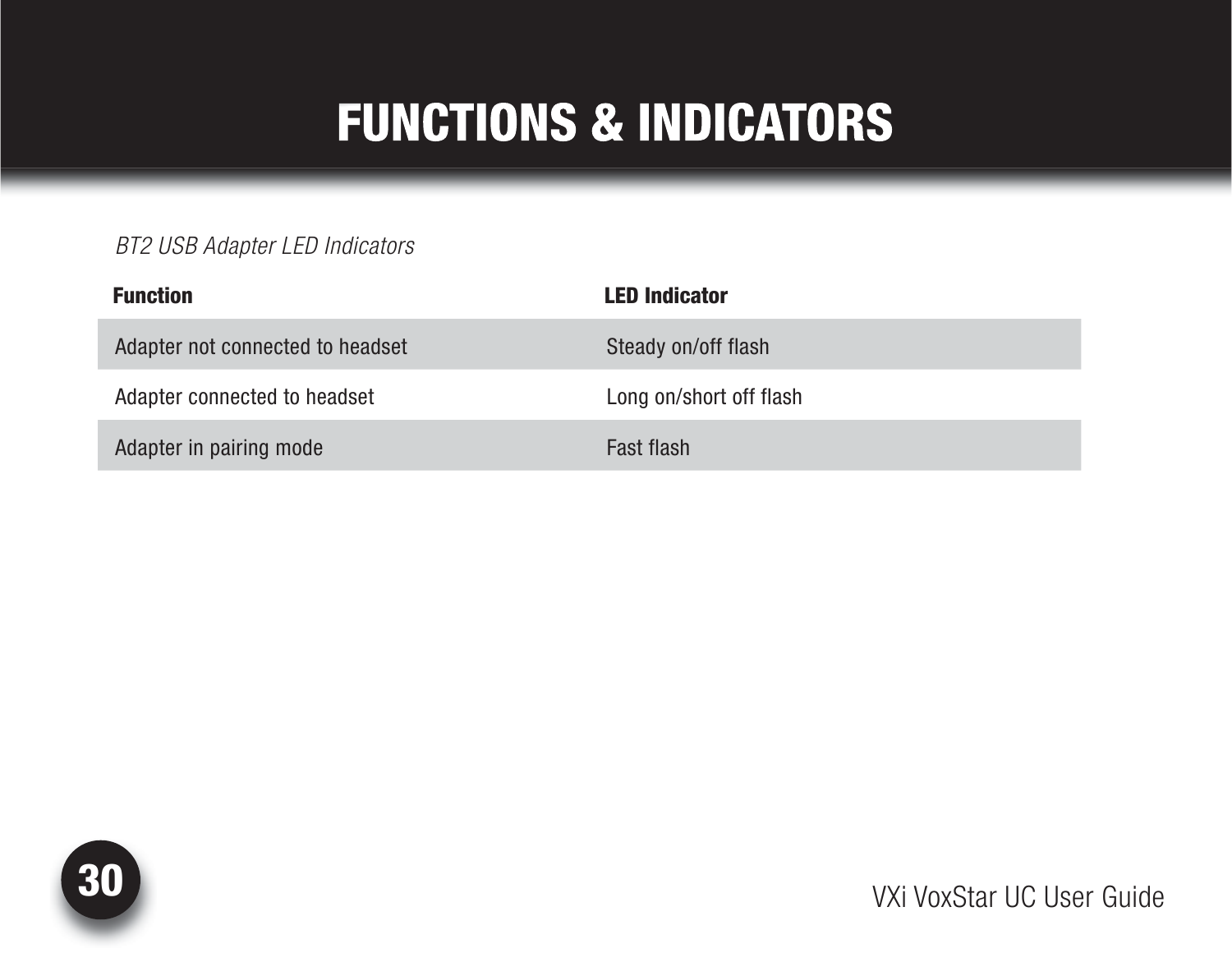#### *BT2 USB Adapter LED Indicators*

| <b>Function</b>                  | <b>LED Indicator</b>    |
|----------------------------------|-------------------------|
| Adapter not connected to headset | Steady on/off flash     |
| Adapter connected to headset     | Long on/short off flash |
| Adapter in pairing mode          | Fast flash              |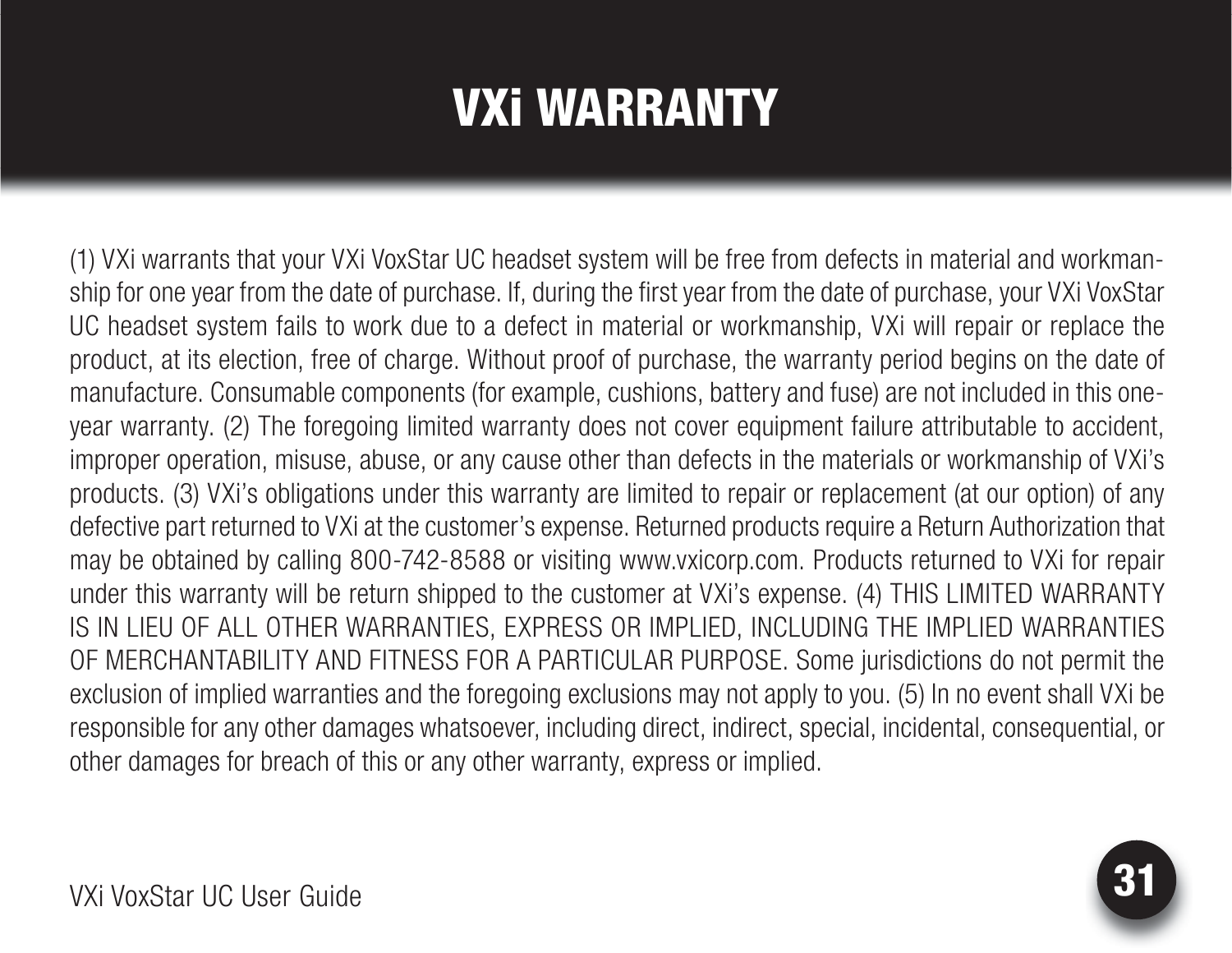# VXi WARRANTY

<span id="page-30-0"></span>(1) VXi warrants that your VXi VoxStar UC headset system will be free from defects in material and workmanship for one year from the date of purchase. If, during the first year from the date of purchase, your VXi VoxStar UC headset system fails to work due to a defect in material or workmanship, VXi will repair or replace the product, at its election, free of charge. Without proof of purchase, the warranty period begins on the date of manufacture. Consumable components (for example, cushions, battery and fuse) are not included in this oneyear warranty. (2) The foregoing limited warranty does not cover equipment failure attributable to accident, improper operation, misuse, abuse, or any cause other than defects in the materials or workmanship of VXi's products. (3) VXi's obligations under this warranty are limited to repair or replacement (at our option) of any defective part returned to VXi at the customer's expense. Returned products require a Return Authorization that may be obtained by calling 800-742-8588 or visiting www.vxicorp.com. Products returned to VXi for repair under this warranty will be return shipped to the customer at VXi's expense. (4) THIS LIMITED WARRANTY IS IN LIEU OF ALL OTHER WARRANTIES, EXPRESS OR IMPLIED, INCLUDING THE IMPLIED WARRANTIES OF MERCHANTABILITY AND FITNESS FOR A PARTICULAR PURPOSE. Some jurisdictions do not permit the exclusion of implied warranties and the foregoing exclusions may not apply to you. (5) In no event shall VXi be responsible for any other damages whatsoever, including direct, indirect, special, incidental, consequential, or other damages for breach of this or any other warranty, express or implied.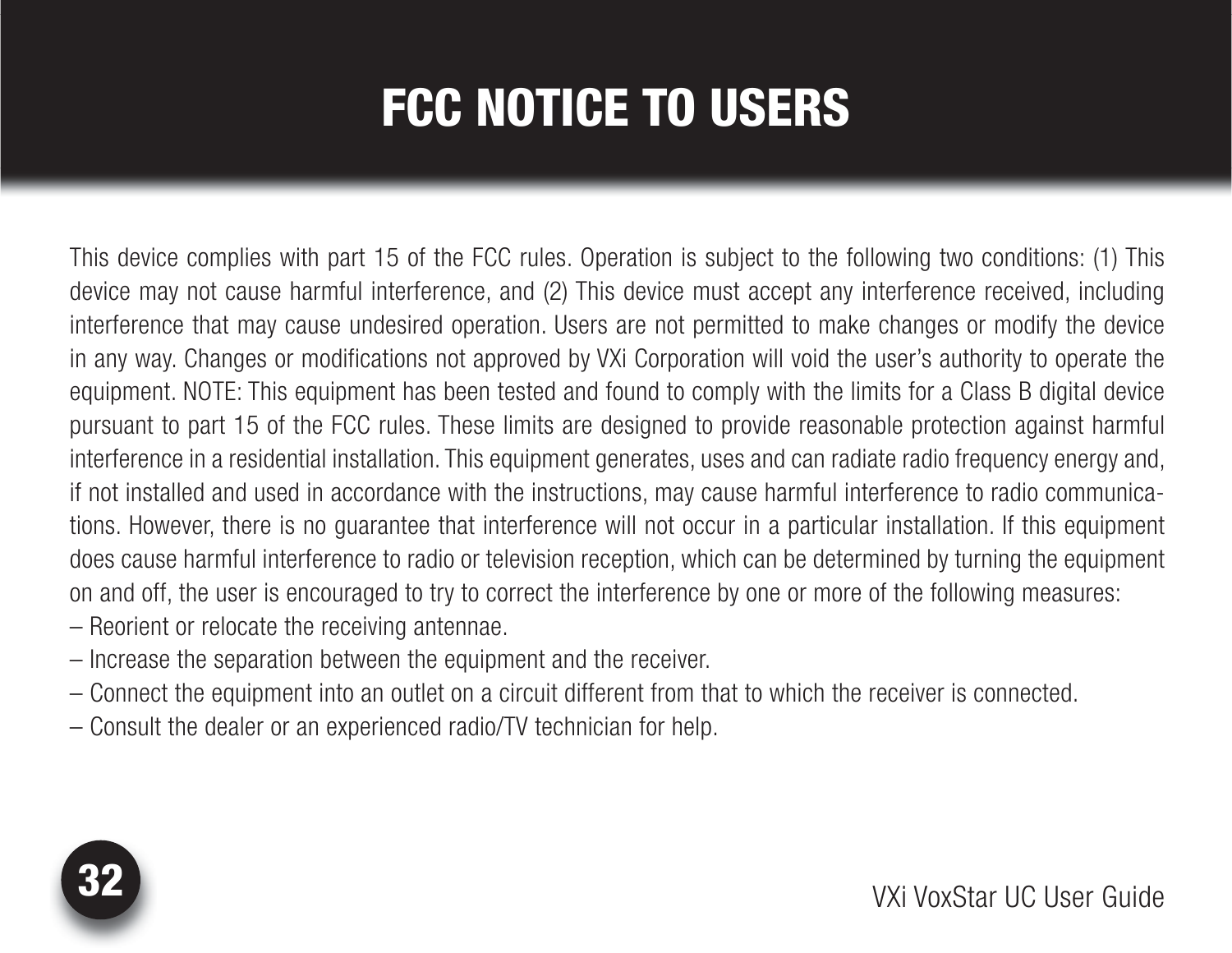# FCC NOTICE TO USERS

<span id="page-31-0"></span>This device complies with part 15 of the FCC rules. Operation is subject to the following two conditions: (1) This device may not cause harmful interference, and (2) This device must accept any interference received, including interference that may cause undesired operation. Users are not permitted to make changes or modify the device in any way. Changes or modifications not approved by VXi Corporation will void the user's authority to operate the equipment. NOTE: This equipment has been tested and found to comply with the limits for a Class B digital device pursuant to part 15 of the FCC rules. These limits are designed to provide reasonable protection against harmful interference in a residential installation. This equipment generates, uses and can radiate radio frequency energy and, if not installed and used in accordance with the instructions, may cause harmful interference to radio communications. However, there is no guarantee that interference will not occur in a particular installation. If this equipment does cause harmful interference to radio or television reception, which can be determined by turning the equipment on and off, the user is encouraged to try to correct the interference by one or more of the following measures: – Reorient or relocate the receiving antennae.

- Increase the separation between the equipment and the receiver.
- Connect the equipment into an outlet on a circuit different from that to which the receiver is connected.
- Consult the dealer or an experienced radio/TV technician for help.

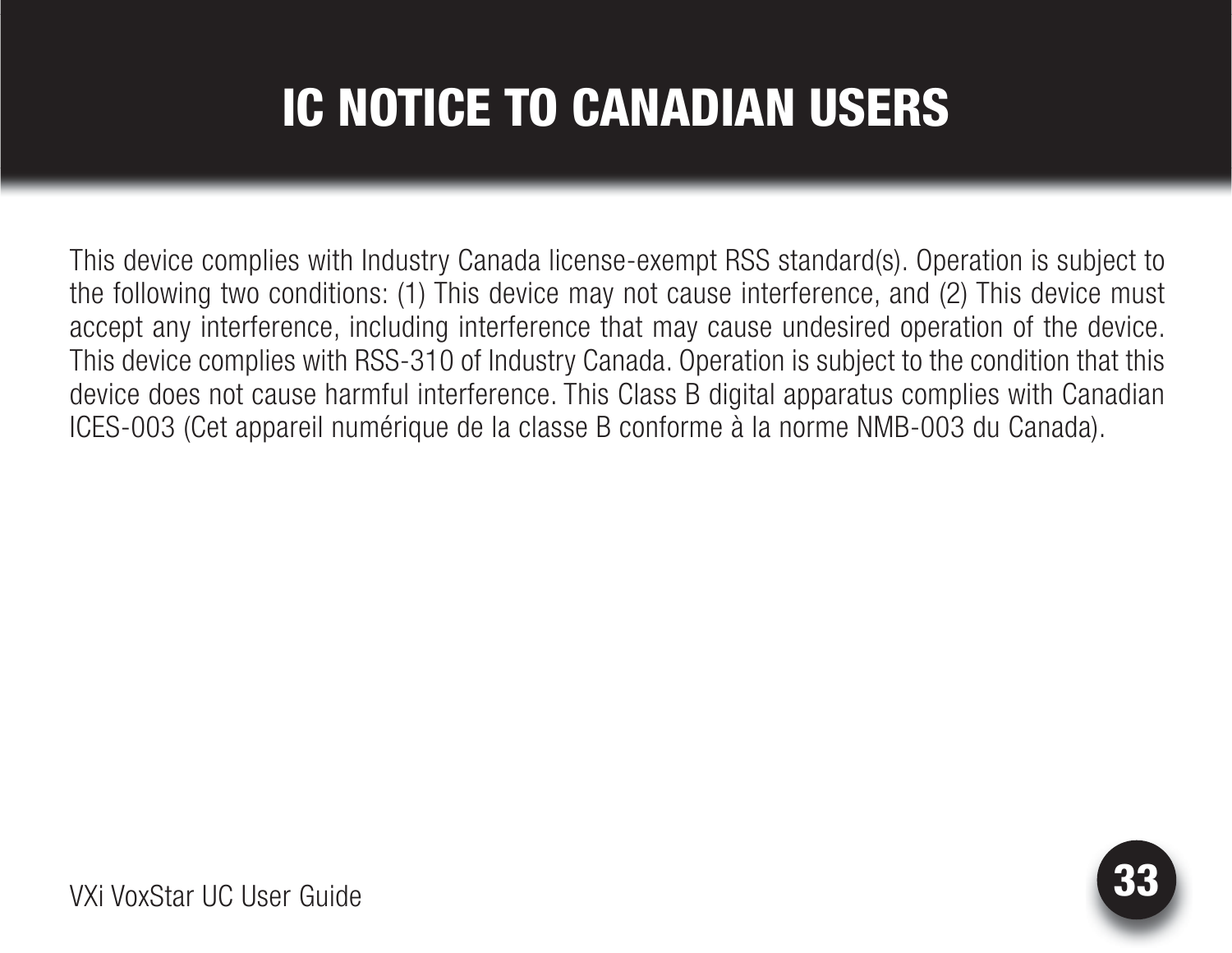# IC NOTICE TO CANADIAN USERS

<span id="page-32-0"></span>This device complies with Industry Canada license-exempt RSS standard(s). Operation is subject to the following two conditions: (1) This device may not cause interference, and (2) This device must accept any interference, including interference that may cause undesired operation of the device. This device complies with RSS-310 of Industry Canada. Operation is subject to the condition that this device does not cause harmful interference. This Class B digital apparatus complies with Canadian ICES-003 (Cet appareil numérique de la classe B conforme à la norme NMB-003 du Canada).